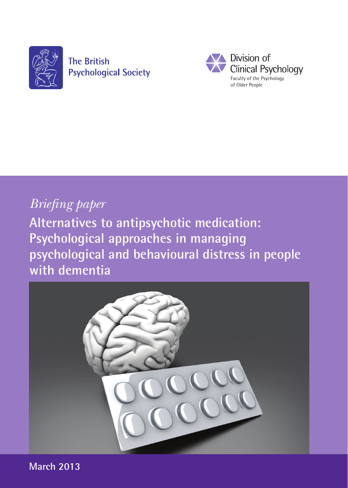

**The British Psychological Society** 



## *Briefing paper*

**Alternatives to antipsychotic medication: Psychological approaches in managing psychological and behavioural distress in people with dementia**



**March 2013**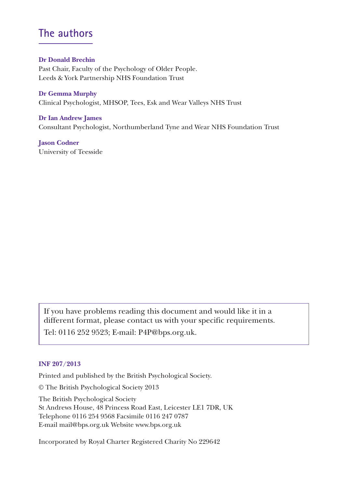#### **The authors**

#### **Dr Donald Brechin**

Past Chair, Faculty of the Psychology of Older People. Leeds & York Partnership NHS Foundation Trust

#### **Dr Gemma Murphy**

Clinical Psychologist, MHSOP, Tees, Esk and Wear Valleys NHS Trust

#### **Dr Ian Andrew James** Consultant Psychologist, Northumberland Tyne and Wear NHS Foundation Trust

**Jason Codner** University of Teesside

If you have problems reading this document and would like it in a different format, please contact us with your specific requirements.

Tel: 0116 252 9523; E-mail: P4P@bps.org.uk.

#### **INF 207/2013**

Printed and published by the British Psychological Society.

© The British Psychological Society 2013

The British Psychological Society St Andrews House, 48 Princess Road East, Leicester LE1 7DR, UK Telephone 0116 254 9568 Facsimile 0116 247 0787 E-mail mail@bps.org.uk Website www.bps.org.uk

Incorporated by Royal Charter Registered Charity No 229642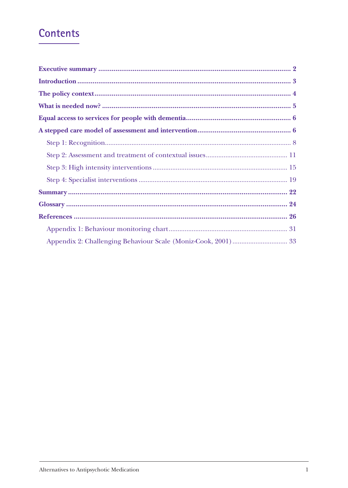## **Contents**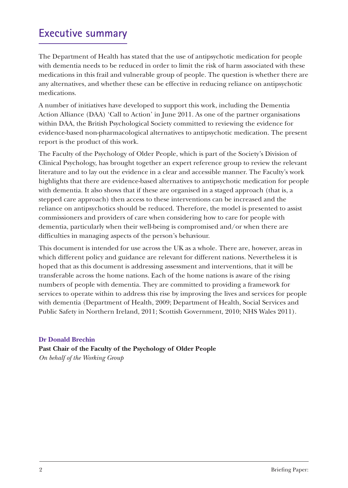#### **Executive summary**

The Department of Health has stated that the use of antipsychotic medication for people with dementia needs to be reduced in order to limit the risk of harm associated with these medications in this frail and vulnerable group of people. The question is whether there are any alternatives, and whether these can be effective in reducing reliance on antipsychotic medications.

A number of initiatives have developed to support this work, including the Dementia Action Alliance (DAA) 'Call to Action' in June 2011. As one of the partner organisations within DAA, the British Psychological Society committed to reviewing the evidence for evidence-based non-pharmacological alternatives to antipsychotic medication. The present report is the product of this work.

The Faculty of the Psychology of Older People, which is part of the Society's Division of Clinical Psychology, has brought together an expert reference group to review the relevant literature and to lay out the evidence in a clear and accessible manner. The Faculty's work highlights that there are evidence-based alternatives to antipsychotic medication for people with dementia. It also shows that if these are organised in a staged approach (that is, a stepped care approach) then access to these interventions can be increased and the reliance on antipsychotics should be reduced. Therefore, the model is presented to assist commissioners and providers of care when considering how to care for people with dementia, particularly when their well-being is compromised and/or when there are difficulties in managing aspects of the person's behaviour.

This document is intended for use across the UK as a whole. There are, however, areas in which different policy and guidance are relevant for different nations. Nevertheless it is hoped that as this document is addressing assessment and interventions, that it will be transferable across the home nations. Each of the home nations is aware of the rising numbers of people with dementia. They are committed to providing a framework for services to operate within to address this rise by improving the lives and services for people with dementia (Department of Health, 2009; Department of Health, Social Services and Public Safety in Northern Ireland, 2011; Scottish Government, 2010; NHS Wales 2011).

#### **Dr Donald Brechin**

**Past Chair of the Faculty of the Psychology of Older People** *On behalf of the Working Group*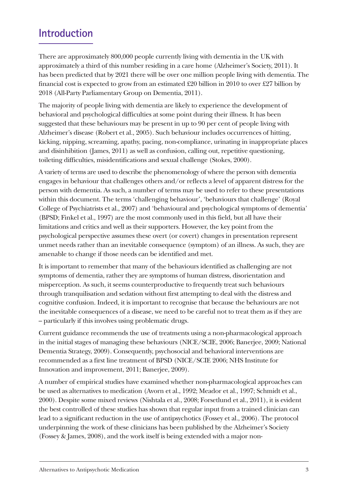#### **Introduction**

There are approximately 800,000 people currently living with dementia in the UK with approximately a third of this number residing in a care home (Alzheimer's Society, 2011). It has been predicted that by 2021 there will be over one million people living with dementia. The financial cost is expected to grow from an estimated £20 billion in 2010 to over £27 billion by 2018 (All-Party Parliamentary Group on Dementia, 2011).

The majority of people living with dementia are likely to experience the development of behavioral and psychological difficulties at some point during their illness. It has been suggested that these behaviours may be present in up to 90 per cent of people living with Alzheimer's disease (Robert et al., 2005). Such behaviour includes occurrences of hitting, kicking, nipping, screaming, apathy, pacing, non-compliance, urinating in inappropriate places and disinhibition (James, 2011) as well as confusion, calling out, repetitive questioning, toileting difficulties, misidentifications and sexual challenge (Stokes, 2000).

A variety of terms are used to describe the phenomenology of where the person with dementia engages in behaviour that challenges others and/or reflects a level of apparent distress for the person with dementia. As such, a number of terms may be used to refer to these presentations within this document. The terms 'challenging behaviour', 'behaviours that challenge' (Royal College of Psychiatrists et al., 2007) and 'behavioural and psychological symptoms of dementia' (BPSD; Finkel et al., 1997) are the most commonly used in this field, but all have their limitations and critics and well as their supporters. However, the key point from the psychological perspective assumes these overt (or covert) changes in presentation represent unmet needs rather than an inevitable consequence (symptom) of an illness. As such, they are amenable to change if those needs can be identified and met.

It is important to remember that many of the behaviours identified as challenging are not symptoms of dementia, rather they are symptoms of human distress, disorientation and misperception. As such, it seems counterproductive to frequently treat such behaviours through tranquilisation and sedation without first attempting to deal with the distress and cognitive confusion. Indeed, it is important to recognise that because the behaviours are not the inevitable consequences of a disease, we need to be careful not to treat them as if they are – particularly if this involves using problematic drugs.

Current guidance recommends the use of treatments using a non-pharmacological approach in the initial stages of managing these behaviours (NICE/SCIE, 2006; Banerjee, 2009; National Dementia Strategy, 2009). Consequently, psychosocial and behavioral interventions are recommended as a first line treatment of BPSD (NICE/SCIE 2006; NHS Institute for Innovation and improvement, 2011; Banerjee, 2009).

A number of empirical studies have examined whether non-pharmacological approaches can be used as alternatives to medication (Avorn et al., 1992; Meador et al., 1997; Schmidt et al., 2000). Despite some mixed reviews (Nishtala et al., 2008; Forsetlund et al., 2011), it is evident the best controlled of these studies has shown that regular input from a trained clinician can lead to a significant reduction in the use of antipsychotics (Fossey et al., 2006). The protocol underpinning the work of these clinicians has been published by the Alzheimer's Society (Fossey & James, 2008), and the work itself is being extended with a major non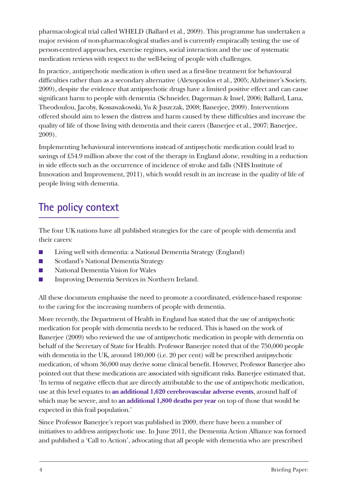pharmacological trial called WHELD (Ballard et al., 2009). This programme has undertaken a major revision of non-pharmacological studies and is currently empiracally testing the use of person-centred approaches, exercise regimes, social interaction and the use of systematic medication reviews with respect to the well-being of people with challenges.

In practice, antipsychotic medication is often used as a first-line treatment for behavioural difficulties rather than as a secondary alternative (Alexopoulos et al., 2005; Alzheimer's Society, 2009), despite the evidence that antipsychotic drugs have a limited positive effect and can cause significant harm to people with dementia (Schneider, Dagerman & Insel, 2006; Ballard, Lana, Theodoulou, Jacoby, Kossawakowski, Yu & Juszczak, 2008; Banerjee, 2009). Interventions offered should aim to lessen the distress and harm caused by these difficulties and increase the quality of life of those living with dementia and their carers (Banerjee et al., 2007; Banerjee, 2009).

Implementing behavioural interventions instead of antipsychotic medication could lead to savings of £54.9 million above the cost of the therapy in England alone, resulting in a reduction in side effects such as the occurrence of incidence of stroke and falls (NHS Institute of Innovation and Improvement, 2011), which would result in an increase in the quality of life of people living with dementia.

## **The policy context**

The four UK nations have all published strategies for the care of people with dementia and their carers:

- Living well with dementia: a National Dementia Strategy (England)
- Scotland's National Dementia Strategy
- National Dementia Vision for Wales
- Improving Dementia Services in Northern Ireland.

All these documents emphasise the need to promote a coordinated, evidence-based response to the caring for the increasing numbers of people with dementia.

More recently, the Department of Health in England has stated that the use of antipsychotic medication for people with dementia needs to be reduced. This is based on the work of Banerjee (2009) who reviewed the use of antipsychotic medication in people with dementia on behalf of the Secretary of State for Health. Professor Banerjee noted that of the 750,000 people with dementia in the UK, around 180,000 (i.e. 20 per cent) will be prescribed antipsychotic medication, of whom 36,000 may derive some clinical benefit. However, Professor Banerjee also pointed out that these medications are associated with significant risks. Banerjee estimated that, 'In terms of negative effects that are directly attributable to the use of antipsychotic medication, use at this level equates to **an additional 1,620 cerebrovascular adverse events**, around half of which may be severe, and to **an additional 1,800 deaths per year** on top of those that would be expected in this frail population.'

Since Professor Banerjee's report was published in 2009, there have been a number of initiatives to address antipsychotic use. In June 2011, the Dementia Action Alliance was formed and published a 'Call to Action', advocating that all people with dementia who are prescribed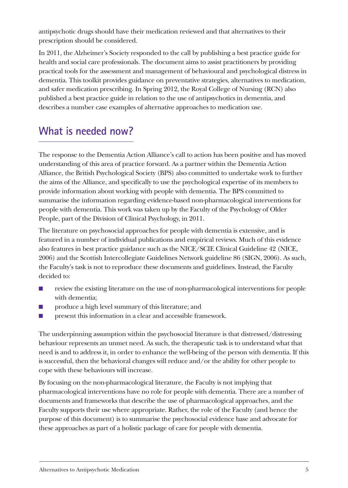antipsychotic drugs should have their medication reviewed and that alternatives to their prescription should be considered.

In 2011, the Alzheimer's Society responded to the call by publishing a best practice guide for health and social care professionals. The document aims to assist practitioners by providing practical tools for the assessment and management of behavioural and psychological distress in dementia. This toolkit provides guidance on preventative strategies, alternatives to medication, and safer medication prescribing. In Spring 2012, the Royal College of Nursing (RCN) also published a best practice guide in relation to the use of antipsychotics in dementia, and describes a number case examples of alternative approaches to medication use.

#### **What is needed now?**

The response to the Dementia Action Alliance's call to action has been positive and has moved understanding of this area of practice forward. As a partner within the Dementia Action Alliance, the British Psychological Society (BPS) also committed to undertake work to further the aims of the Alliance, and specifically to use the psychological expertise of its members to provide information about working with people with dementia. The BPS committed to summarise the information regarding evidence-based non-pharmacological interventions for people with dementia. This work was taken up by the Faculty of the Psychology of Older People, part of the Division of Clinical Psychology, in 2011.

The literature on psychosocial approaches for people with dementia is extensive, and is featured in a number of individual publications and empirical reviews. Much of this evidence also features in best practice guidance such as the NICE/SCIE Clinical Guideline 42 (NICE, 2006) and the Scottish Intercollegiate Guidelines Network guideline 86 (SIGN, 2006). As such, the Faculty's task is not to reproduce these documents and guidelines. Instead, the Faculty decided to:

- review the existing literature on the use of non-pharmacological interventions for people with dementia;
- produce a high level summary of this literature; and
- present this information in a clear and accessible framework.

The underpinning assumption within the psychosocial literature is that distressed/ distressing behaviour represents an unmet need. As such, the therapeutic task is to understand what that need is and to address it, in order to enhance the well-being of the person with dementia. If this is successful, then the behavioral changes will reduce and/or the ability for other people to cope with these behaviours will increase.

By focusing on the non-pharmacological literature, the Faculty is not implying that pharmacological interventions have no role for people with dementia. There are a number of documents and frameworks that describe the use of pharmacological approaches, and the Faculty supports their use where appropriate. Rather, the role of the Faculty (and hence the purpose of this document) is to summarise the psychosocial evidence base and advocate for these approaches as part of a holistic package of care for people with dementia.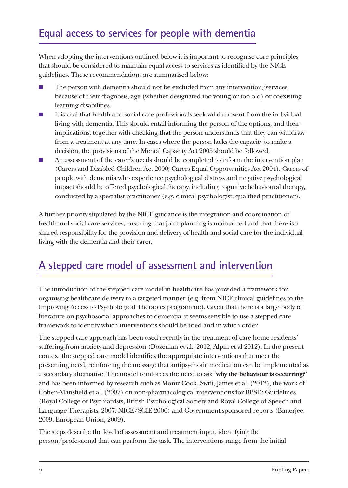## **Equal access to services for people with dementia**

When adopting the interventions outlined below it is important to recognise core principles that should be considered to maintain equal access to services as identified by the NICE guidelines. These recommendations are summarised below;

- The person with dementia should not be excluded from any intervention/services because of their diagnosis, age (whether designated too young or too old) or coexisting learning disabilities.
- It is vital that health and social care professionals seek valid consent from the individual living with dementia. This should entail informing the person of the options, and their implications, together with checking that the person understands that they can withdraw from a treatment at any time. In cases where the person lacks the capacity to make a decision, the provisions of the Mental Capacity Act 2005 should be followed.
- An assessment of the carer's needs should be completed to inform the intervention plan (Carers and Disabled Children Act 2000; Carers Equal Opportunities Act 2004). Carers of people with dementia who experience psychological distress and negative psychological impact should be offered psychological therapy, including cognitive behavioural therapy, conducted by a specialist practitioner (e.g. clinical psychologist, qualified practitioner).

A further priority stipulated by the NICE guidance is the integration and coordination of health and social care services, ensuring that joint planning is maintained and that there is a shared responsibility for the provision and delivery of health and social care for the individual living with the dementia and their carer.

## **A stepped care model of assessment and intervention**

The introduction of the stepped care model in healthcare has provided a framework for organising healthcare delivery in a targeted manner (e.g. from NICE clinical guidelines to the Improving Access to Psychological Therapies programme). Given that there is a large body of literature on psychosocial approaches to dementia, it seems sensible to use a stepped care framework to identify which interventions should be tried and in which order.

The stepped care approach has been used recently in the treatment of care home residents' suffering from anxiety and depression (Dozeman et al., 2012; Alpin et al 2012). In the present context the stepped care model identifies the appropriate interventions that meet the presenting need, reinforcing the message that antipsychotic medication can be implemented as a secondary alternative. The model reinforces the need to ask '**why the behaviour is occurring?**' and has been informed by research such as Moniz Cook, Swift, James et al. (2012), the work of Cohen-Mansfield et al. (2007) on non-pharmacological interventions for BPSD; Guidelines (Royal College of Psychiatrists, British Psychological Society and Royal College of Speech and Language Therapists, 2007; NICE/SCIE 2006) and Government sponsored reports (Banerjee, 2009; European Union, 2009).

The steps describe the level of assessment and treatment input, identifying the person/professional that can perform the task. The interventions range from the initial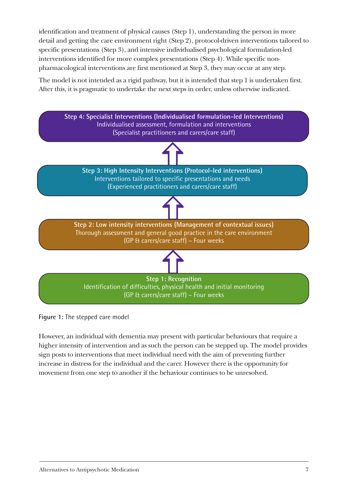identification and treatment of physical causes (Step 1), understanding the person in more detail and getting the care environment right (Step 2), protocol-driven interventions tailored to specific presentations (Step 3), and intensive individualised psychological formulation-led interventions identified for more complex presentations (Step 4). While specific nonpharmacological interventions are first mentioned at Step 3, they may occur at any step.

The model is not intended as a rigid pathway, but it is intended that step 1 is undertaken first. After this, it is pragmatic to undertake the next steps in order, unless otherwise indicated.



**Figure 1:** The stepped care model

However, an individual with dementia may present with particular behaviours that require a higher intensity of intervention and as such the person can be stepped up. The model provides sign posts to interventions that meet individual need with the aim of preventing further increase in distress for the individual and the carer. However there is the opportunity for movement from one step to another if the behaviour continues to be unresolved.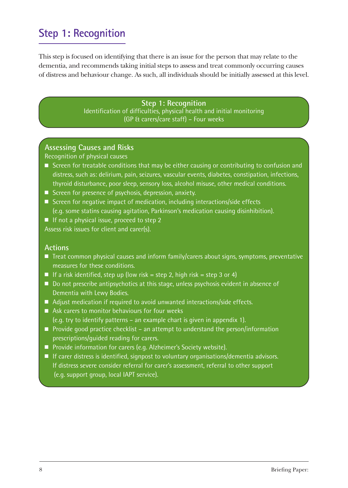#### **Step 1: Recognition**

This step is focused on identifying that there is an issue for the person that may relate to the dementia, and recommends taking initial steps to assess and treat commonly occurring causes of distress and behaviour change. As such, all individuals should be initially assessed at this level.

> **Step 1: Recognition** Identification of difficulties, physical health and initial monitoring (GP & carers/care staff) – Four weeks

#### **Assessing Causes and Risks**

Recognition of physical causes

- Screen for treatable conditions that may be either causing or contributing to confusion and distress, such as: delirium, pain, seizures, vascular events, diabetes, constipation, infections, thyroid disturbance, poor sleep, sensory loss, alcohol misuse, other medical conditions.
- Screen for presence of psychosis, depression, anxiety.
- Screen for negative impact of medication, including interactions/side effects (e.g. some statins causing agitation, Parkinson's medication causing disinhibition).
- If not a physical issue, proceed to step 2

Assess risk issues for client and carer(s).

#### **Actions**

- Treat common physical causes and inform family/carers about signs, symptoms, preventative measures for these conditions.
- $\blacksquare$  If a risk identified, step up (low risk = step 2, high risk = step 3 or 4)
- Do not prescribe antipsychotics at this stage, unless psychosis evident in absence of Dementia with Lewy Bodies.
- Adjust medication if required to avoid unwanted interactions/side effects.
- Ask carers to monitor behaviours for four weeks (e.g. try to identify patterns – an example chart is given in appendix 1).
- Provide good practice checklist an attempt to understand the person/information prescriptions/guided reading for carers.
- Provide information for carers (e.g. Alzheimer's Society website).
- If carer distress is identified, signpost to voluntary organisations/dementia advisors. If distress severe consider referral for carer's assessment, referral to other support (e.g. support group, local IAPT service).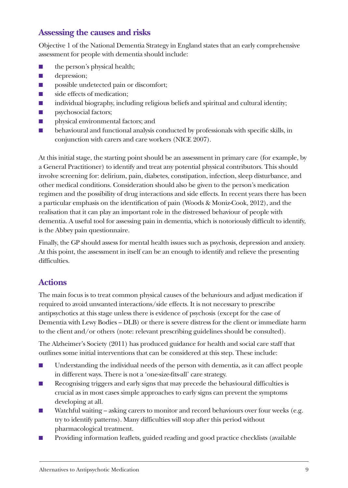#### **Assessing the causes and risks**

Objective 1 of the National Dementia Strategy in England states that an early comprehensive assessment for people with dementia should include:

- the person's physical health;
- depression;
- possible undetected pain or discomfort;
- side effects of medication;
- individual biography, including religious beliefs and spiritual and cultural identity;
- **Exercise 5 psychosocial factors;**
- physical environmental factors; and
- behavioural and functional analysis conducted by professionals with specific skills, in conjunction with carers and care workers (NICE 2007).

At this initial stage, the starting point should be an assessment in primary care (for example, by a General Practitioner) to identify and treat any potential physical contributors. This should involve screening for: delirium, pain, diabetes, constipation, infection, sleep disturbance, and other medical conditions. Consideration should also be given to the person's medication regimen and the possibility of drug interactions and side effects. In recent years there has been a particular emphasis on the identification of pain (Woods & Moniz-Cook, 2012), and the realisation that it can play an important role in the distressed behaviour of people with dementia. A useful tool for assessing pain in dementia, which is notoriously difficult to identify, is the Abbey pain questionnaire.

Finally, the GP should assess for mental health issues such as psychosis, depression and anxiety. At this point, the assessment in itself can be an enough to identify and relieve the presenting difficulties.

#### **Actions**

The main focus is to treat common physical causes of the behaviours and adjust medication if required to avoid unwanted interactions/side effects. It is not necessary to prescribe antipsychotics at this stage unless there is evidence of psychosis (except for the case of Dementia with Lewy Bodies – DLB) or there is severe distress for the client or immediate harm to the client and/or others (note: relevant prescribing guidelines should be consulted).

The Alzheimer's Society (2011) has produced guidance for health and social care staff that outlines some initial interventions that can be considered at this step. These include:

- Understanding the individual needs of the person with dementia, as it can affect people in different ways. There is not a 'one-size-fits-all' care strategy.
- Recognising triggers and early signs that may precede the behavioural difficulties is crucial as in most cases simple approaches to early signs can prevent the symptoms developing at all.
- Watchful waiting asking carers to monitor and record behaviours over four weeks (e.g. try to identify patterns). Many difficulties will stop after this period without pharmacological treatment.
- Providing information leaflets, guided reading and good practice checklists (available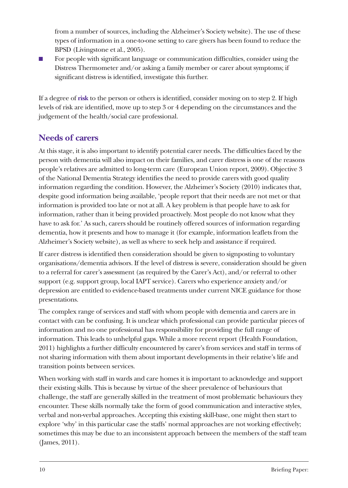from a number of sources, including the Alzheimer's Society website). The use of these types of information in a one-to-one setting to care givers has been found to reduce the BPSD (Livingstone et al., 2005).

■ For people with significant language or communication difficulties, consider using the Distress Thermometer and/or asking a family member or carer about symptoms; if significant distress is identified, investigate this further.

If a degree of **risk** to the person or others is identified, consider moving on to step 2. If high levels of risk are identified, move up to step 3 or 4 depending on the circumstances and the judgement of the health/social care professional.

#### **Needs of carers**

At this stage, it is also important to identify potential carer needs. The difficulties faced by the person with dementia will also impact on their families, and carer distress is one of the reasons people's relatives are admitted to long-term care (European Union report, 2009). Objective 3 of the National Dementia Strategy identifies the need to provide carers with good quality information regarding the condition. However, the Alzheimer's Society (2010) indicates that, despite good information being available, 'people report that their needs are not met or that information is provided too late or not at all. A key problem is that people have to ask for information, rather than it being provided proactively. Most people do not know what they have to ask for.' As such, carers should be routinely offered sources of information regarding dementia, how it presents and how to manage it (for example, information leaflets from the Alzheimer's Society website), as well as where to seek help and assistance if required.

If carer distress is identified then consideration should be given to signposting to voluntary organisations/dementia advisors. If the level of distress is severe, consideration should be given to a referral for carer's assessment (as required by the Carer's Act), and/or referral to other support (e.g. support group, local IAPT service). Carers who experience anxiety and/or depression are entitled to evidence-based treatments under current NICE guidance for those presentations.

The complex range of services and staff with whom people with dementia and carers are in contact with can be confusing. It is unclear which professional can provide particular pieces of information and no one professional has responsibility for providing the full range of information. This leads to unhelpful gaps. While a more recent report (Health Foundation, 2011) highlights a further difficulty encountered by carer's from services and staff in terms of not sharing information with them about important developments in their relative's life and transition points between services.

When working with staff in wards and care homes it is important to acknowledge and support their existing skills. This is because by virtue of the sheer prevalence of behaviours that challenge, the staff are generally skilled in the treatment of most problematic behaviours they encounter. These skills normally take the form of good communication and interactive styles, verbal and non-verbal approaches. Accepting this existing skill-base, one might then start to explore 'why' in this particular case the staffs' normal approaches are not working effectively; sometimes this may be due to an inconsistent approach between the members of the staff team (James, 2011).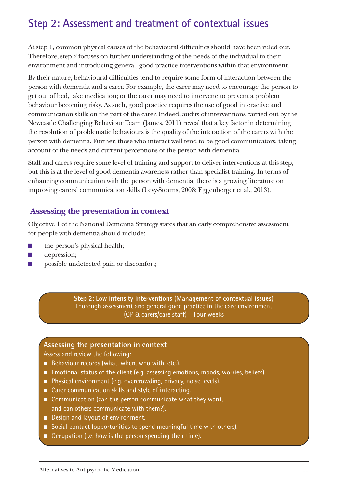### **Step 2: Assessment and treatment of contextual issues**

At step 1, common physical causes of the behavioural difficulties should have been ruled out. Therefore, step 2 focuses on further understanding of the needs of the individual in their environment and introducing general, good practice interventions within that environment.

By their nature, behavioural difficulties tend to require some form of interaction between the person with dementia and a carer. For example, the carer may need to encourage the person to get out of bed, take medication; or the carer may need to intervene to prevent a problem behaviour becoming risky. As such, good practice requires the use of good interactive and communication skills on the part of the carer. Indeed, audits of interventions carried out by the Newcastle Challenging Behaviour Team (James, 2011) reveal that a key factor in determining the resolution of problematic behaviours is the quality of the interaction of the carers with the person with dementia. Further, those who interact well tend to be good communicators, taking account of the needs and current perceptions of the person with dementia.

Staff and carers require some level of training and support to deliver interventions at this step, but this is at the level of good dementia awareness rather than specialist training. In terms of enhancing communication with the person with dementia, there is a growing literature on improving carers' communication skills (Levy-Storms, 2008; Eggenberger et al., 2013).

#### **Assessing the presentation in context**

Objective 1 of the National Dementia Strategy states that an early comprehensive assessment for people with dementia should include:

- the person's physical health;
- depression;
- possible undetected pain or discomfort;

**Step 2: Low intensity interventions (Management of contextual issues)** Thorough assessment and general good practice in the care environment (GP & carers/care staff) – Four weeks

#### **Assessing the presentation in context**

Assess and review the following:

- Behaviour records (what, when, who with, etc.).
- Emotional status of the client (e.g. assessing emotions, moods, worries, beliefs).
- Physical environment (e.g. overcrowding, privacy, noise levels).
- Carer communication skills and style of interacting.
- Communication (can the person communicate what they want, and can others communicate with them?).
- Design and layout of environment.
- Social contact (opportunities to spend meaningful time with others).
- Occupation (i.e. how is the person spending their time).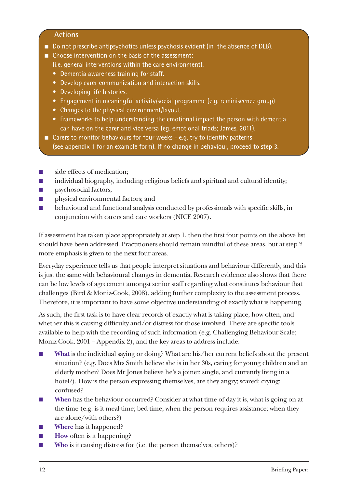#### **Actions**

- Do not prescribe antipsychotics unless psychosis evident (in the absence of DLB).
- Choose intervention on the basis of the assessment:
	- (i.e. general interventions within the care environment).
	- Dementia awareness training for staff.
	- Develop carer communication and interaction skills.
	- Developing life histories.
	- Engagement in meaningful activity/social programme (e.g. reminiscence group)
	- Changes to the physical environment/layout.
	- Frameworks to help understanding the emotional impact the person with dementia can have on the carer and vice versa (eg. emotional triads; James, 2011).
- Carers to monitor behaviours for four weeks e.g. try to identify patterns (see appendix 1 for an example form). If no change in behaviour, proceed to step 3.
- side effects of medication;
- individual biography, including religious beliefs and spiritual and cultural identity;
- psychosocial factors;
- **■** physical environmental factors; and
- behavioural and functional analysis conducted by professionals with specific skills, in conjunction with carers and care workers (NICE 2007).

If assessment has taken place appropriately at step 1, then the first four points on the above list should have been addressed. Practitioners should remain mindful of these areas, but at step 2 more emphasis is given to the next four areas.

Everyday experience tells us that people interpret situations and behaviour differently, and this is just the same with behavioural changes in dementia. Research evidence also shows that there can be low levels of agreement amongst senior staff regarding what constitutes behaviour that challenges (Bird & Moniz-Cook, 2008), adding further complexity to the assessment process. Therefore, it is important to have some objective understanding of exactly what is happening.

As such, the first task is to have clear records of exactly what is taking place, how often, and whether this is causing difficulty and/or distress for those involved. There are specific tools available to help with the recording of such information (e.g. Challenging Behaviour Scale; Moniz-Cook, 2001 – Appendix 2), and the key areas to address include:

- **What** is the individual saying or doing? What are his/her current beliefs about the present situation? (e.g. Does Mrs Smith believe she is in her 30s, caring for young children and an elderly mother? Does Mr Jones believe he's a joiner, single, and currently living in a hotel?). How is the person expressing themselves, are they angry; scared; crying; confused?
- **When** has the behaviour occurred? Consider at what time of day it is, what is going on at the time (e.g. is it meal-time; bed-time; when the person requires assistance; when they are alone/with others?)
- **Where** has it happened?
- **How** often is it happening?
- **Who** is it causing distress for (i.e. the person themselves, others)?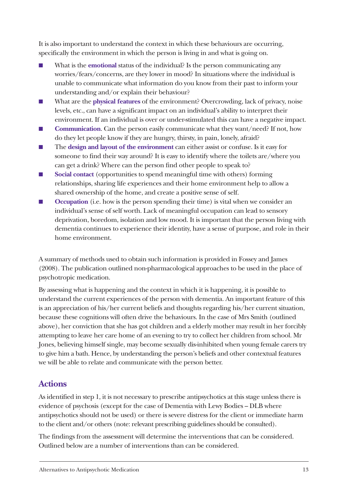It is also important to understand the context in which these behaviours are occurring, specifically the environment in which the person is living in and what is going on.

- What is the **emotional** status of the individual? Is the person communicating any worries/fears/concerns, are they lower in mood? In situations where the individual is unable to communicate what information do you know from their past to inform your understanding and/or explain their behaviour?
- What are the **physical features** of the environment? Overcrowding, lack of privacy, noise levels, etc., can have a significant impact on an individual's ability to interpret their environment. If an individual is over or under-stimulated this can have a negative impact.
- **Communication**. Can the person easily communicate what they want/need? If not, how do they let people know if they are hungry, thirsty, in pain, lonely, afraid?
- The **design and layout of the environment** can either assist or confuse. Is it easy for someone to find their way around? It is easy to identify where the toilets are/where you can get a drink? Where can the person find other people to speak to?
- **Social contact** (opportunities to spend meaningful time with others) forming relationships, sharing life experiences and their home environment help to allow a shared ownership of the home, and create a positive sense of self.
- **Occupation** (i.e. how is the person spending their time) is vital when we consider an individual's sense of self worth. Lack of meaningful occupation can lead to sensory deprivation, boredom, isolation and low mood. It is important that the person living with dementia continues to experience their identity, have a sense of purpose, and role in their home environment.

A summary of methods used to obtain such information is provided in Fossey and James (2008). The publication outlined non-pharmacological approaches to be used in the place of psychotropic medication.

By assessing what is happening and the context in which it is happening, it is possible to understand the current experiences of the person with dementia. An important feature of this is an appreciation of his/her current beliefs and thoughts regarding his/her current situation, because these cognitions will often drive the behaviours. In the case of Mrs Smith (outlined above), her conviction that she has got children and a elderly mother may result in her forcibly attempting to leave her care home of an evening to try to collect her children from school. Mr Jones, believing himself single, may become sexually dis-inhibited when young female carers try to give him a bath. Hence, by understanding the person's beliefs and other contextual features we will be able to relate and communicate with the person better.

#### **Actions**

As identified in step 1, it is not necessary to prescribe antipsychotics at this stage unless there is evidence of psychosis (except for the case of Dementia with Lewy Bodies – DLB where antipsychotics should not be used) or there is severe distress for the client or immediate harm to the client and/or others (note: relevant prescribing guidelines should be consulted).

The findings from the assessment will determine the interventions that can be considered. Outlined below are a number of interventions than can be considered.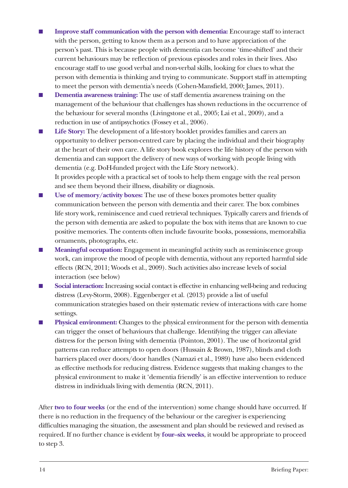- **Improve staff communication with the person with dementia:** Encourage staff to interact with the person, getting to know them as a person and to have appreciation of the person's past. This is because people with dementia can become 'time-shifted' and their current behaviours may be reflection of previous episodes and roles in their lives. Also encourage staff to use good verbal and non-verbal skills, looking for clues to what the person with dementia is thinking and trying to communicate. Support staff in attempting to meet the person with dementia's needs (Cohen-Mansfield, 2000; James, 2011).
- **Dementia awareness training:** The use of staff dementia awareness training on the management of the behaviour that challenges has shown reductions in the occurrence of the behaviour for several months (Livingstone et al., 2005; Lai et al., 2009), and a reduction in use of antipsychotics (Fossey et al., 2006).
- **Life Story:** The development of a life-story booklet provides families and carers an opportunity to deliver person-centred care by placing the individual and their biography at the heart of their own care. A life story book explores the life history of the person with dementia and can support the delivery of new ways of working with people living with dementia (e.g. DoH-funded project with the Life Story network). It provides people with a practical set of tools to help them engage with the real person and see them beyond their illness, disability or diagnosis.
- **Use of memory/activity boxes:** The use of these boxes promotes better quality communication between the person with dementia and their carer. The box combines life story work, reminiscence and cued retrieval techniques. Typically carers and friends of the person with dementia are asked to populate the box with items that are known to cue positive memories. The contents often include favourite books, possessions, memorabilia ornaments, photographs, etc.
- **Meaningful occupation:** Engagement in meaningful activity such as reminiscence group work, can improve the mood of people with dementia, without any reported harmful side effects (RCN, 2011; Woods et al., 2009). Such activities also increase levels of social interaction (see below)
- **Social interaction:** Increasing social contact is effective in enhancing well-being and reducing distress (Levy-Storm, 2008). Eggenberger et al. (2013) provide a list of useful communication strategies based on their systematic review of interactions with care home settings.
- **Physical environment:** Changes to the physical environment for the person with dementia can trigger the onset of behaviours that challenge. Identifying the trigger can alleviate distress for the person living with dementia (Pointon, 2001). The use of horizontal grid patterns can reduce attempts to open doors (Hussain & Brown, 1987), blinds and cloth barriers placed over doors/door handles (Namazi et al., 1989) have also been evidenced as effective methods for reducing distress. Evidence suggests that making changes to the physical environment to make it 'dementia friendly' is an effective intervention to reduce distress in individuals living with dementia (RCN, 2011).

After **two to four weeks** (or the end of the intervention) some change should have occurred. If there is no reduction in the frequency of the behaviour or the caregiver is experiencing difficulties managing the situation, the assessment and plan should be reviewed and revised as required. If no further chance is evident by **four–six weeks**, it would be appropriate to proceed to step 3.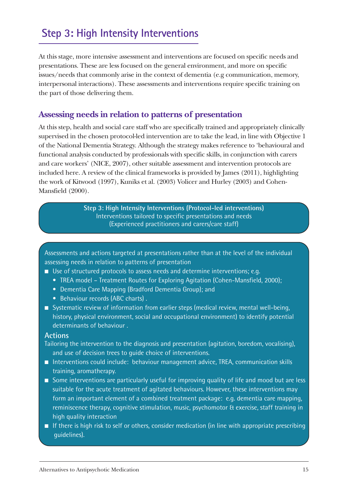## **Step 3: High Intensity Interventions**

At this stage, more intensive assessment and interventions are focused on specific needs and presentations. These are less focused on the general environment, and more on specific issues/needs that commonly arise in the context of dementia (e.g communication, memory, interpersonal interactions). These assessments and interventions require specific training on the part of those delivering them.

#### **Assessing needs in relation to patterns of presentation**

At this step, health and social care staff who are specifically trained and appropriately clinically supervised in the chosen protocol-led intervention are to take the lead, in line with Objective 1 of the National Dementia Strategy. Although the strategy makes reference to 'behavioural and functional analysis conducted by professionals with specific skills, in conjunction with carers and care workers' (NICE, 2007), other suitable assessment and intervention protocols are included here. A review of the clinical frameworks is provided by James (2011), highlighting the work of Kitwood (1997), Kuniks et al. (2003) Volicer and Hurley (2003) and Cohen-Mansfield (2000).

> **Step 3: High Intensity Interventions (Protocol-led interventions)** Interventions tailored to specific presentations and needs (Experienced practitioners and carers/care staff)

Assessments and actions targeted at presentations rather than at the level of the individual assessing needs in relation to patterns of presentation

- Use of structured protocols to assess needs and determine interventions; e.g.
	- TREA model Treatment Routes for Exploring Agitation (Cohen-Mansfield, 2000);
	- Dementia Care Mapping (Bradford Dementia Group); and
	- Behaviour records (ABC charts) .
- Systematic review of information from earlier steps (medical review, mental well-being, history, physical environment, social and occupational environment) to identify potential determinants of behaviour .

#### **Actions**

- Tailoring the intervention to the diagnosis and presentation (agitation, boredom, vocalising), and use of decision trees to guide choice of interventions.
- Interventions could include: behaviour management advice, TREA, communication skills training, aromatherapy.
- Some interventions are particularly useful for improving quality of life and mood but are less suitable for the acute treatment of agitated behaviours. However, these interventions may form an important element of a combined treatment package: e.g. dementia care mapping, reminiscence therapy, cognitive stimulation, music, psychomotor & exercise, staff training in high quality interaction
- If there is high risk to self or others, consider medication (in line with appropriate prescribing guidelines).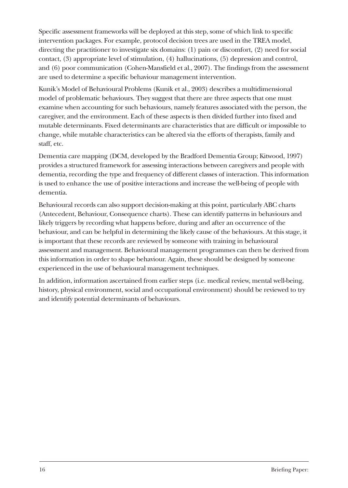Specific assessment frameworks will be deployed at this step, some of which link to specific intervention packages. For example, protocol decision trees are used in the TREA model, directing the practitioner to investigate six domains: (1) pain or discomfort, (2) need for social contact, (3) appropriate level of stimulation, (4) hallucinations, (5) depression and control, and (6) poor communication (Cohen-Mansfield et al., 2007). The findings from the assessment are used to determine a specific behaviour management intervention.

Kunik's Model of Behavioural Problems (Kunik et al., 2003) describes a multidimensional model of problematic behaviours. They suggest that there are three aspects that one must examine when accounting for such behaviours, namely features associated with the person, the caregiver, and the environment. Each of these aspects is then divided further into fixed and mutable determinants. Fixed determinants are characteristics that are difficult or impossible to change, while mutable characteristics can be altered via the efforts of therapists, family and staff, etc.

Dementia care mapping (DCM, developed by the Bradford Dementia Group; Kitwood, 1997) provides a structured framework for assessing interactions between caregivers and people with dementia, recording the type and frequency of different classes of interaction. This information is used to enhance the use of positive interactions and increase the well-being of people with dementia.

Behavioural records can also support decision-making at this point, particularly ABC charts (Antecedent, Behaviour, Consequence charts). These can identify patterns in behaviours and likely triggers by recording what happens before, during and after an occurrence of the behaviour, and can be helpful in determining the likely cause of the behaviours. At this stage, it is important that these records are reviewed by someone with training in behavioural assessment and management. Behavioural management programmes can then be derived from this information in order to shape behaviour. Again, these should be designed by someone experienced in the use of behavioural management techniques.

In addition, information ascertained from earlier steps (i.e. medical review, mental well-being, history, physical environment, social and occupational environment) should be reviewed to try and identify potential determinants of behaviours.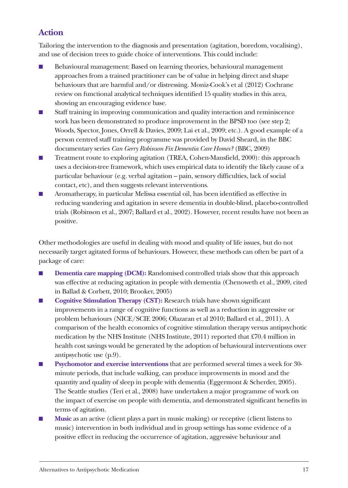#### **Action**

Tailoring the intervention to the diagnosis and presentation (agitation, boredom, vocalising), and use of decision trees to guide choice of interventions. This could include:

- Behavioural management: Based on learning theories, behavioural management approaches from a trained practitioner can be of value in helping direct and shape behaviours that are harmful and/or distressing. Moniz-Cook's et al (2012) Cochrane review on functional analytical techniques identified 15 quality studies in this area, showing an encouraging evidence base.
- Staff training in improving communication and quality interaction and reminiscence work has been demonstrated to produce improvement in the BPSD too (see step 2; Woods, Spector, Jones, Orrell & Davies, 2009; Lai et al., 2009; etc.). A good example of a person centred staff training programme was provided by David Sheard, in the BBC documentary series *Can Gerry Robinson Fix Dementia Care Homes?* (BBC, 2009)
- Treatment route to exploring agitation (TREA, Cohen-Mansfield, 2000): this approach uses a decision-tree framework, which uses empirical data to identify the likely cause of a particular behaviour (e.g. verbal agitation – pain, sensory difficulties, lack of social contact, etc), and then suggests relevant interventions.
- Aromatherapy, in particular Melissa essential oil, has been identified as effective in reducing wandering and agitation in severe dementia in double-blind, placebo-controlled trials (Robinson et al., 2007; Ballard et al., 2002). However, recent results have not been as positive.

Other methodologies are useful in dealing with mood and quality of life issues, but do not necessarily target agitated forms of behaviours. However, these methods can often be part of a package of care:

- **Dementia care mapping (DCM):** Randomised controlled trials show that this approach was effective at reducing agitation in people with dementia (Chenoweth et al., 2009, cited in Ballad & Corbett, 2010; Brooker, 2005)
- **Cognitive Stimulation Therapy (CST):** Research trials have shown significant improvements in a range of cognitive functions as well as a reduction in aggressive or problem behaviours (NICE/SCIE 2006; Olazaran et al 2010; Ballard et al., 2011). A comparison of the health economics of cognitive stimulation therapy versus antipsychotic medication by the NHS Institute (NHS Institute, 2011) reported that £70.4 million in health cost savings would be generated by the adoption of behavioural interventions over antipsychotic use (p.9).
- **Psychomotor and exercise interventions** that are performed several times a week for 30minute periods, that include walking, can produce improvements in mood and the quantity and quality of sleep in people with dementia (Eggermont & Scherder, 2005). The Seattle studies (Teri et al., 2008) have undertaken a major programme of work on the impact of exercise on people with dementia, and demonstrated significant benefits in terms of agitation.
- **Music** as an active (client plays a part in music making) or receptive (client listens to music) intervention in both individual and in group settings has some evidence of a positive effect in reducing the occurrence of agitation, aggressive behaviour and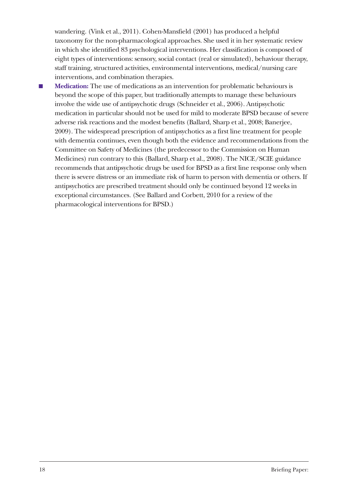wandering. (Vink et al., 2011). Cohen-Mansfield (2001) has produced a helpful taxonomy for the non-pharmacological approaches. She used it in her systematic review in which she identified 83 psychological interventions. Her classification is composed of eight types of interventions: sensory, social contact (real or simulated), behaviour therapy, staff training, structured activities, environmental interventions, medical/nursing care interventions, and combination therapies.

■ **Medication:** The use of medications as an intervention for problematic behaviours is beyond the scope of this paper, but traditionally attempts to manage these behaviours involve the wide use of antipsychotic drugs (Schneider et al., 2006). Antipsychotic medication in particular should not be used for mild to moderate BPSD because of severe adverse risk reactions and the modest benefits (Ballard, Sharp et al., 2008; Banerjee, 2009). The widespread prescription of antipsychotics as a first line treatment for people with dementia continues, even though both the evidence and recommendations from the Committee on Safety of Medicines (the predecessor to the Commission on Human Medicines) run contrary to this (Ballard, Sharp et al., 2008). The NICE/SCIE guidance recommends that antipsychotic drugs be used for BPSD as a first line response only when there is severe distress or an immediate risk of harm to person with dementia or others. If antipsychotics are prescribed treatment should only be continued beyond 12 weeks in exceptional circumstances. (See Ballard and Corbett, 2010 for a review of the pharmacological interventions for BPSD.)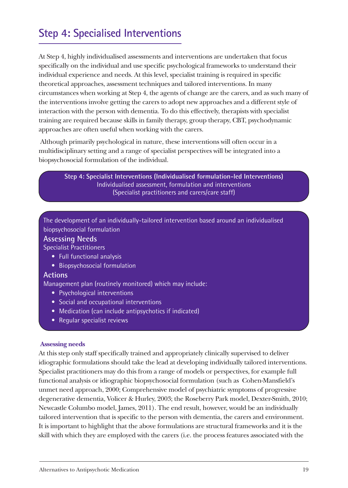## **Step 4: Specialised Interventions**

At Step 4, highly individualised assessments and interventions are undertaken that focus specifically on the individual and use specific psychological frameworks to understand their individual experience and needs. At this level, specialist training is required in specific theoretical approaches, assessment techniques and tailored interventions. In many circumstances when working at Step 4, the agents of change are the carers, and as such many of the interventions involve getting the carers to adopt new approaches and a different style of interaction with the person with dementia. To do this effectively, therapists with specialist training are required because skills in family therapy, group therapy, CBT, psychodynamic approaches are often useful when working with the carers.

Although primarily psychological in nature, these interventions will often occur in a multidisciplinary setting and a range of specialist perspectives will be integrated into a biopsychosocial formulation of the individual.

> **Step 4: Specialist Interventions (Individualised formulation-led Interventions)** Individualised assessment, formulation and interventions (Specialist practitioners and carers/care staff)

The development of an individually-tailored intervention based around an individualised biopsychosocial formulation

#### **Assessing Needs**

Specialist Practitioners

- Full functional analysis
- Biopsychosocial formulation

#### **Actions**

Management plan (routinely monitored) which may include:

- Psychological interventions
- Social and occupational interventions
- Medication (can include antipsychotics if indicated)
- Regular specialist reviews

#### **Assessing needs**

At this step only staff specifically trained and appropriately clinically supervised to deliver idiographic formulations should take the lead at developing individually tailored interventions. Specialist practitioners may do this from a range of models or perspectives, for example full functional analysis or idiographic biopsychosocial formulation (such as Cohen-Mansfield's unmet need approach, 2000; Comprehensive model of psychiatric symptoms of progressive degenerative dementia, Volicer & Hurley, 2003; the Roseberry Park model, Dexter-Smith, 2010; Newcastle Columbo model, James, 2011). The end result, however, would be an individually tailored intervention that is specific to the person with dementia, the carers and environment. It is important to highlight that the above formulations are structural frameworks and it is the skill with which they are employed with the carers (i.e. the process features associated with the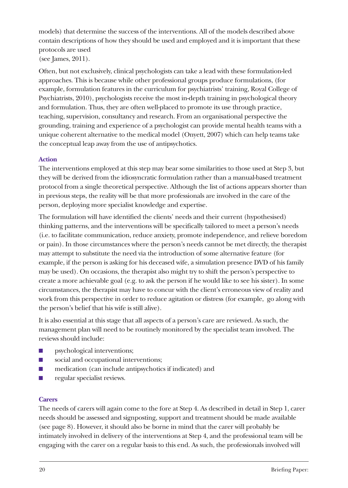models) that determine the success of the interventions. All of the models described above contain descriptions of how they should be used and employed and it is important that these protocols are used (see James, 2011).

Often, but not exclusively, clinical psychologists can take a lead with these formulation-led approaches. This is because while other professional groups produce formulations, (for example, formulation features in the curriculum for psychiatrists' training, Royal College of Psychiatrists, 2010), psychologists receive the most in-depth training in psychological theory and formulation. Thus, they are often well-placed to promote its use through practice, teaching, supervision, consultancy and research. From an organisational perspective the grounding, training and experience of a psychologist can provide mental health teams with a unique coherent alternative to the medical model (Onyett, 2007) which can help teams take the conceptual leap away from the use of antipsychotics.

#### **Action**

The interventions employed at this step may bear some similarities to those used at Step 3, but they will be derived from the idiosyncratic formulation rather than a manual-based treatment protocol from a single theoretical perspective. Although the list of actions appears shorter than in previous steps, the reality will be that more professionals are involved in the care of the person, deploying more specialist knowledge and expertise.

The formulation will have identified the clients' needs and their current (hypothesised) thinking patterns, and the interventions will be specifically tailored to meet a person's needs (i.e. to facilitate communication, reduce anxiety, promote independence, and relieve boredom or pain). In those circumstances where the person's needs cannot be met directly, the therapist may attempt to substitute the need via the introduction of some alternative feature (for example, if the person is asking for his deceased wife, a simulation presence DVD of his family may be used). On occasions, the therapist also might try to shift the person's perspective to create a more achievable goal (e.g. to ask the person if he would like to see his sister). In some circumstances, the therapist may have to concur with the client's erroneous view of reality and work from this perspective in order to reduce agitation or distress (for example, go along with the person's belief that his wife is still alive).

It is also essential at this stage that all aspects of a person's care are reviewed. As such, the management plan will need to be routinely monitored by the specialist team involved. The reviews should include:

- psychological interventions;
- social and occupational interventions;
- medication (can include antipsychotics if indicated) and
- regular specialist reviews.

#### **Carers**

The needs of carers will again come to the fore at Step 4. As described in detail in Step 1, carer needs should be assessed and signposting, support and treatment should be made available (see page 8). However, it should also be borne in mind that the carer will probably be intimately involved in delivery of the interventions at Step 4, and the professional team will be engaging with the carer on a regular basis to this end. As such, the professionals involved will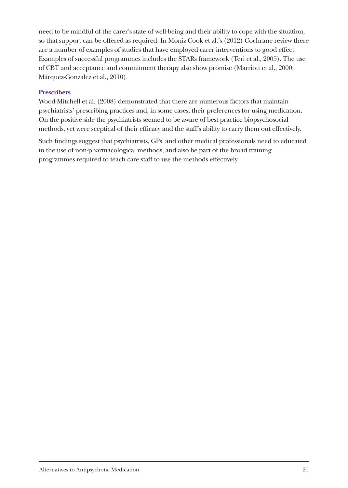need to be mindful of the carer's state of well-being and their ability to cope with the situation, so that support can be offered as required. In Moniz-Cook et al.'s (2012) Cochrane review there are a number of examples of studies that have employed carer interventions to good effect. Examples of successful programmes includes the STARs framework (Teri et al., 2005). The use of CBT and acceptance and commitment therapy also show promise (Marriott et al., 2000; Márquez-Gonzalez et al., 2010).

#### **Prescribers**

Wood-Mitchell et al. (2008) demonstrated that there are numerous factors that maintain psychiatrists' prescribing practices and, in some cases, their preferences for using medication. On the positive side the psychiatrists seemed to be aware of best practice biopsychosocial methods, yet were sceptical of their efficacy and the staff's ability to carry them out effectively.

Such findings suggest that psychiatrists, GPs, and other medical professionals need to educated in the use of non-pharmacological methods, and also be part of the broad training programmes required to teach care staff to use the methods effectively.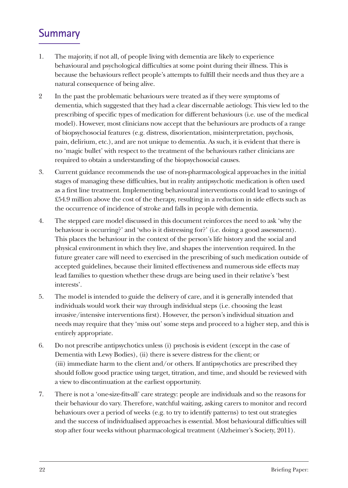#### **Summary**

- 1. The majority, if not all, of people living with dementia are likely to experience behavioural and psychological difficulties at some point during their illness. This is because the behaviours reflect people's attempts to fulfill their needs and thus they are a natural consequence of being alive.
- 2 In the past the problematic behaviours were treated as if they were symptoms of dementia, which suggested that they had a clear discernable aetiology. This view led to the prescribing of specific types of medication for different behaviours (i.e. use of the medical model). However, most clinicians now accept that the behaviours are products of a range of biopsychosocial features (e.g. distress, disorientation, misinterpretation, psychosis, pain, delirium, etc.), and are not unique to dementia. As such, it is evident that there is no 'magic bullet' with respect to the treatment of the behaviours rather clinicians are required to obtain a understanding of the biopsychosocial causes.
- 3. Current guidance recommends the use of non-pharmacological approaches in the initial stages of managing these difficulties, but in reality antipsychotic medication is often used as a first line treatment. Implementing behavioural interventions could lead to savings of £54.9 million above the cost of the therapy, resulting in a reduction in side effects such as the occurrence of incidence of stroke and falls in people with dementia.
- 4. The stepped care model discussed in this document reinforces the need to ask 'why the behaviour is occurring?' and 'who is it distressing for?' (i.e. doing a good assessment). This places the behaviour in the context of the person's life history and the social and physical environment in which they live, and shapes the intervention required. In the future greater care will need to exercised in the prescribing of such medication outside of accepted guidelines, because their limited effectiveness and numerous side effects may lead families to question whether these drugs are being used in their relative's 'best interests'.
- 5. The model is intended to guide the delivery of care, and it is generally intended that individuals would work their way through individual steps (i.e. choosing the least invasive/intensive interventions first). However, the person's individual situation and needs may require that they 'miss out' some steps and proceed to a higher step, and this is entirely appropriate.
- 6. Do not prescribe antipsychotics unless (i) psychosis is evident (except in the case of Dementia with Lewy Bodies), (ii) there is severe distress for the client; or (iii) immediate harm to the client and/or others. If antipsychotics are prescribed they should follow good practice using target, titration, and time, and should be reviewed with a view to discontinuation at the earliest opportunity.
- 7. There is not a 'one-size-fits-all' care strategy: people are individuals and so the reasons for their behaviour do vary. Therefore, watchful waiting, asking carers to monitor and record behaviours over a period of weeks (e.g. to try to identify patterns) to test out strategies and the success of individualised approaches is essential. Most behavioural difficulties will stop after four weeks without pharmacological treatment (Alzheimer's Society, 2011).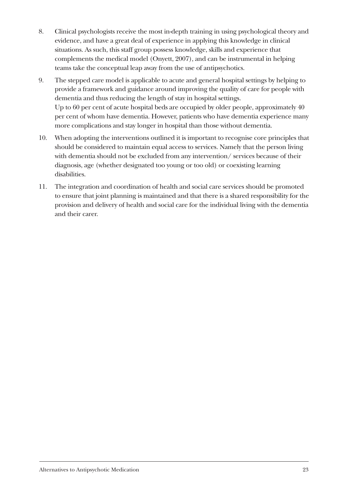- 8. Clinical psychologists receive the most in-depth training in using psychological theory and evidence, and have a great deal of experience in applying this knowledge in clinical situations. As such, this staff group possess knowledge, skills and experience that complements the medical model (Onyett, 2007), and can be instrumental in helping teams take the conceptual leap away from the use of antipsychotics.
- 9. The stepped care model is applicable to acute and general hospital settings by helping to provide a framework and guidance around improving the quality of care for people with dementia and thus reducing the length of stay in hospital settings. Up to 60 per cent of acute hospital beds are occupied by older people, approximately 40 per cent of whom have dementia. However, patients who have dementia experience many more complications and stay longer in hospital than those without dementia.
- 10. When adopting the interventions outlined it is important to recognise core principles that should be considered to maintain equal access to services. Namely that the person living with dementia should not be excluded from any intervention/ services because of their diagnosis, age (whether designated too young or too old) or coexisting learning disabilities.
- 11. The integration and coordination of health and social care services should be promoted to ensure that joint planning is maintained and that there is a shared responsibility for the provision and delivery of health and social care for the individual living with the dementia and their carer.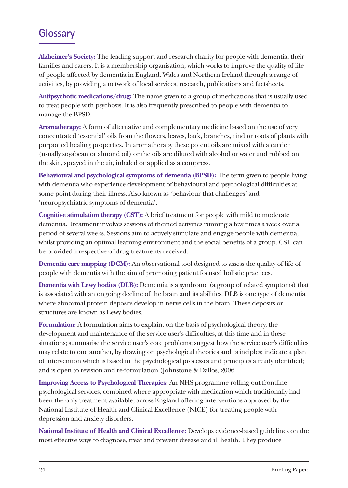#### **Glossary**

**Alzheimer's Society:** The leading support and research charity for people with dementia, their families and carers. It is a membership organisation, which works to improve the quality of life of people affected by dementia in England, Wales and Northern Ireland through a range of activities, by providing a network of local services, research, publications and factsheets.

**Antipsychotic medications/drug:** The name given to a group of medications that is usually used to treat people with psychosis. It is also frequently prescribed to people with dementia to manage the BPSD.

**Aromatherapy:** A form of alternative and complementary medicine based on the use of very concentrated 'essential' oils from the flowers, leaves, bark, branches, rind or roots of plants with purported healing properties. In aromatherapy these potent oils are mixed with a carrier (usually soyabean or almond oil) or the oils are diluted with alcohol or water and rubbed on the skin, sprayed in the air, inhaled or applied as a compress.

**Behavioural and psychological symptoms of dementia (BPSD):** The term given to people living with dementia who experience development of behavioural and psychological difficulties at some point during their illness. Also known as 'behaviour that challenges' and 'neuropsychiatric symptoms of dementia'.

**Cognitive stimulation therapy (CST):** A brief treatment for people with mild to moderate dementia. Treatment involves sessions of themed activities running a few times a week over a period of several weeks. Sessions aim to actively stimulate and engage people with dementia, whilst providing an optimal learning environment and the social benefits of a group. CST can be provided irrespective of drug treatments received.

**Dementia care mapping (DCM):** An observational tool designed to assess the quality of life of people with dementia with the aim of promoting patient focused holistic practices.

**Dementia with Lewy bodies (DLB):** Dementia is a syndrome (a group of related symptoms) that is associated with an ongoing decline of the brain and its abilities. DLB is one type of dementia where abnormal protein deposits develop in nerve cells in the brain. These deposits or structures are known as Lewy bodies.

**Formulation:** A formulation aims to explain, on the basis of psychological theory, the development and maintenance of the service user's difficulties, at this time and in these situations; summarise the service user's core problems; suggest how the service user's difficulties may relate to one another, by drawing on psychological theories and principles; indicate a plan of intervention which is based in the psychological processes and principles already identified; and is open to revision and re-formulation (Johnstone & Dallos, 2006.

**Improving Access to Psychological Therapies:** An NHS programme rolling out frontline psychological services, combined where appropriate with medication which traditionally had been the only treatment available, across England offering interventions approved by the National Institute of Health and Clinical Excellence (NICE) for treating people with depression and anxiety disorders.

**National Institute of Health and Clinical Excellence:** Develops evidence-based guidelines on the most effective ways to diagnose, treat and prevent disease and ill health. They produce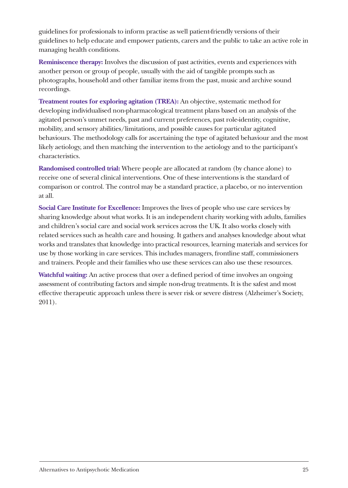guidelines for professionals to inform practise as well patient-friendly versions of their guidelines to help educate and empower patients, carers and the public to take an active role in managing health conditions.

**Reminiscence therapy:** Involves the discussion of past activities, events and experiences with another person or group of people, usually with the aid of tangible prompts such as photographs, household and other familiar items from the past, music and archive sound recordings.

**Treatment routes for exploring agitation (TREA):** An objective, systematic method for developing individualised non-pharmacological treatment plans based on an analysis of the agitated person's unmet needs, past and current preferences, past role-identity, cognitive, mobility, and sensory abilities/limitations, and possible causes for particular agitated behaviours. The methodology calls for ascertaining the type of agitated behaviour and the most likely aetiology, and then matching the intervention to the aetiology and to the participant's characteristics.

**Randomised controlled trial:** Where people are allocated at random (by chance alone) to receive one of several clinical interventions. One of these interventions is the standard of comparison or control. The control may be a standard practice, a placebo, or no intervention at all.

**Social Care Institute for Excellence:** Improves the lives of people who use care services by sharing knowledge about what works. It is an independent charity working with adults, families and children's social care and social work services across the UK. It also works closely with related services such as health care and housing. It gathers and analyses knowledge about what works and translates that knowledge into practical resources, learning materials and services for use by those working in care services. This includes managers, frontline staff, commissioners and trainers. People and their families who use these services can also use these resources.

**Watchful waiting:** An active process that over a defined period of time involves an ongoing assessment of contributing factors and simple non-drug treatments. It is the safest and most effective therapeutic approach unless there is sever risk or severe distress (Alzheimer's Society, 2011).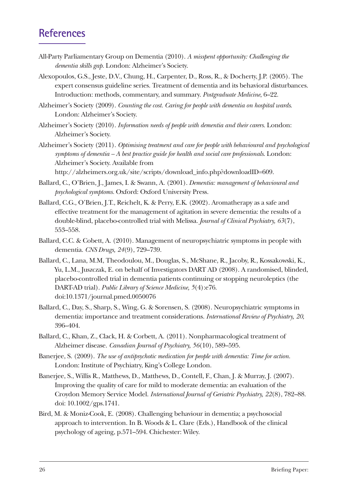#### **References**

- All-Party Parliamentary Group on Dementia (2010). *A misspent opportunity: Challenging the dementia skills gap.* London: Alzheimer's Society.
- Alexopoulos, G.S., Jeste, D.V., Chung, H., Carpenter, D., Ross, R., & Docherty, J.P. (2005). The expert consensus guideline series. Treatment of dementia and its behavioral disturbances. Introduction: methods, commentary, and summary. *Postgraduate Medicine*, 6–22.
- Alzheimer's Society (2009). *Counting the cost. Caring for people with dementia on hospital wards*. London: Alzheimer's Society.
- Alzheimer's Society (2010). *Information needs of people with dementia and their carers.* London: Alzheimer's Society.
- Alzheimer's Society (2011). *Optimising treatment and care for people with behavioural and psychological symptoms of dementia – A best practice guide for health and social care professionals*. London: Alzheimer's Society. Available from http://alzheimers.org.uk/site/scripts/download\_info.php?downloadID=609.
- Ballard, C., O'Brien, J., James, I. & Swann, A. (2001). *Dementia: management of behavioural and psychological symptoms.* Oxford: Oxford University Press.
- Ballard, C.G., O'Brien, J.T., Reichelt, K. & Perry, E.K. (2002). Aromatherapy as a safe and effective treatment for the management of agitation in severe dementia: the results of a double-blind, placebo-controlled trial with Melissa. *Journal of Clinical Psychiatry, 63*(7), 553–558.
- Ballard, C.C. & Cobett, A. (2010). Management of neuropsychiatric symptoms in people with dementia. *CNS Drugs, 24*(9), 729–739.
- Ballard, C., Lana, M.M, Theodoulou, M., Douglas, S., McShane, R., Jacoby, R., Kossakowski, K., Yu, L.M., Juszczak, E. on behalf of Investigators DART AD (2008). A randomised, blinded, placebo-controlled trial in dementia patients continuing or stopping neuroleptics (the DART-AD trial). *Public Library of Science Medicine, 5*(4):e76. doi:10.1371/journal.pmed.0050076
- Ballard, C., Day, S., Sharp, S., Wing, G. & Sorensen, S. (2008). Neuropsychiatric symptoms in dementia: importance and treatment considerations. *International Review of Psychiatry, 20*, 396–404.
- Ballard, C., Khan, Z., Clack, H. & Corbett, A. (2011). Nonpharmacological treatment of Alzheimer disease. *Canadian Journal of Psychiatry, 56*(10), 589–595.
- Banerjee, S. (2009). *The use of antipsychotic medication for people with dementia: Time for action.* London: Institute of Psychiatry, King's College London.
- Banerjee, S., Willis R., Matthews, D., Matthews, D., Contell, F., Chan, J. & Murray, J. (2007). Improving the quality of care for mild to moderate dementia: an evaluation of the Croydon Memory Service Model. *International Journal of Geriatric Psychiatry, 22*(8), 782–88. doi: 10.1002/gps.1741.
- Bird, M. & Moniz-Cook, E. (2008). Challenging behaviour in dementia; a psychosocial approach to intervention. In B. Woods & L. Clare (Eds.), Handbook of the clinical psychology of ageing, p.571–594. Chichester: Wiley.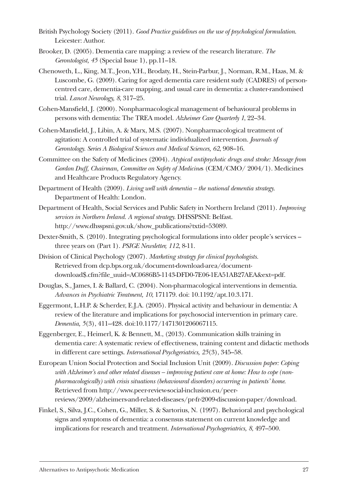- British Psychology Society (2011). *Good Practice guidelines on the use of psychological formulation*. Leicester: Author.
- Brooker, D. (2005). Dementia care mapping: a review of the research literature. *The Gerontologist, 45* (Special Issue 1), pp.11–18.
- Chenoweth, L., King, M.T., Jeon, Y.H., Brodaty, H., Stein-Parbur, J., Norman, R.M., Haas, M. & Luscombe, G. (2009). Caring for aged dementia care resident sudy (CADRES) of personcentred care, dementia-care mapping, and usual care in dementia: a cluster-randomised trial. *Lancet Neurology, 8*, 317–25.
- Cohen-Mansfield, J. (2000). Nonpharmacological management of behavioural problems in persons with dementia: The TREA model. *Alzheimer Care Quarterly 1*, 22–34.
- Cohen-Mansfield, J., Libin, A. & Marx, M.S. (2007). Nonpharmacological treatment of agitation: A controlled trial of systematic individualized intervention. *Journals of Gerontology. Series A Biological Sciences and Medical Sciences, 62*, 908–16.
- Committee on the Safety of Medicines (2004). *Atypical antipsychotic drugs and stroke: Message from Gordon Duff, Chairman, Committee on Safety of Medicine*s (CEM/CMO/ 2004/1). Medicines and Healthcare Products Regulatory Agency.
- Department of Health (2009). *Living well with dementia the national dementia strategy.* Department of Health: London.
- Department of Health, Social Services and Public Safety in Northern Ireland (2011). *Improving services in Northern Ireland. A regional strategy.* DHSSPSNI: Belfast. http://www.dhsspsni.gov.uk/show\_publications?txtid=53089.
- Dexter-Smith, S. (2010). Integrating psychological formulations into older people's services three years on (Part 1). *PSIGE Newsletter, 112*, 8-11.
- Division of Clinical Psychology (2007). *Marketing strategy for clinical psychologists.*  Retrieved from dcp.bps.org.uk/document-download-area/documentdownload\$.cfm?file\_uuid=AC0686B5-1143-DFD0-7E06-1EA51AB27AEA&ext=pdf.
- Douglas, S., James, I. & Ballard, C. (2004). Non-pharmacological interventions in dementia. *Advances in Psychiatric Treatment, 10*, 171179. doi: 10.1192/apt.10.3.171.
- Eggermont, L.H.P. & Scherder, E.J.A. (2005). Physical activity and behaviour in dementia: A review of the literature and implications for psychosocial intervention in primary care. *Dementia, 5*(3), 411–428. doi:10.1177/1471301206067115.
- Eggenberger, E., Heimerl, K. & Bennett, M., (2013). Communication skills training in dementia care: A systematic review of effectiveness, training content and didactic methods in different care settings. *International Psychgeriatrics, 25*(3), 345–58.
- European Union Social Protection and Social Inclusion Unit (2009). *Discussion paper: Coping with Alzheimer's and other related diseases – improving patient care at home: How to cope (nonpharmacologically) with crisis situations (behavioural disorders) occurring in patients' home*. Retrieved from http://www.peer-review-social-inclusion.eu/peerreviews/2009/alzheimers-and-related-diseases/pr-fr-2009-discussion-paper/download.
- Finkel, S., Silva, J.C., Cohen, G., Miller, S. & Sartorius, N. (1997). Behavioral and psychological signs and symptoms of dementia: a consensus statement on current knowledge and implications for research and treatment. *International Psychogeriatrics, 8*, 497–500.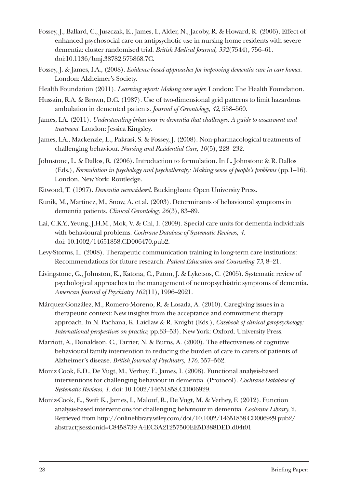- Fossey, J., Ballard, C., Juszczak, E., James, I., Alder, N., Jacoby, R. & Howard, R. (2006). Effect of enhanced psychosocial care on antipsychotic use in nursing home residents with severe dementia: cluster randomised trial. *British Medical Journal, 332*(7544), 756–61. doi:10.1136/bmj.38782.575868.7C.
- Fossey, J. & James, I.A., (2008). *Evidence-based approaches for improving dementia care in care homes.* London: Alzheimer's Society.
- Health Foundation (2011). *Learning report: Making care safer*. London: The Health Foundation.
- Hussain, R.A. & Brown, D.C. (1987). Use of two-dimensional grid patterns to limit hazardous ambulation in demented patients. *Journal of Gerontology, 42*, 558–560.
- James, I.A. (2011). *Understanding behaviour in dementia that challenges: A guide to assessment and treatment*. London: Jessica Kingsley.
- James, I.A., Mackenzie, L., Pakrasi, S. & Fossey, J. (2008). Non-pharmacological treatments of challenging behaviour. *Nursing and Residential Care, 10*(5), 228–232.
- Johnstone, L. & Dallos, R. (2006). Introduction to formulation. In L. Johnstone & R. Dallos (Eds.), *Formulation in psychology and psychotherapy: Making sense of people's problems* (pp.1–16). London, New York: Routledge.
- Kitwood, T. (1997). *Dementia reconsidered.* Buckingham: Open University Press.
- Kunik, M., Martinez, M., Snow, A. et al. (2003). Determinants of behavioural symptoms in dementia patients. *Clinical Gerontology 26*(3), 83–89.
- Lai, C.K.Y., Yeung, J.H.M., Mok, V. & Chi, I. (2009). Special care units for dementia individuals with behavioural problems. *Cochrane Database of Systematic Reviews, 4.*  doi: 10.1002/14651858.CD006470.pub2.
- Levy-Storms, L. (2008). Therapeutic communication training in long-term care institutions: Recommendations for future research. *Patient Education and Counseling 73*, 8–21.
- Livingstone, G., Johnston, K., Katona, C., Paton, J. & Lyketsos, C. (2005). Systematic review of psychological approaches to the management of neuropsychiatric symptoms of dementia. *American Journal of Psychiatry 162*(11), 1996–2021.
- Márquez-González, M., Romero-Moreno, R. & Losada, A. (2010). Caregiving issues in a therapeutic context: New insights from the acceptance and commitment therapy approach. In N. Pachana, K. Laidlaw & R. Knight (Eds.), *Casebook of clinical geropsychology: International perspectives on practice*, pp.33–53). New York: Oxford. University Press.
- Marriott, A., Donaldson, C., Tarrier, N. & Burns, A. (2000). The effectiveness of cognitive behavioural family intervention in reducing the burden of care in carers of patients of Alzheimer's disease. *British Journal of Psychiatry, 176*, 557–562.
- Moniz Cook, E.D., De Vugt, M., Verhey, F., James, I. (2008). Functional analysis-based interventions for challenging behaviour in dementia. (Protocol). *Cochrane Database of Systematic Reviews, 1.* doi: 10.1002/14651858.CD006929.
- Moniz-Cook, E., Swift K., James, I., Malouf, R., De Vugt, M. & Verhey, F. (2012). Function analysis-based interventions for challenging behaviour in dementia. *Cochrane Library*, 2. Retrieved from http://onlinelibrary.wiley.com/doi/10.1002/14651858.CD006929.pub2/ abstract;jsessionid=C8458739 A4EC3A21257500EE5D388DED.d04t01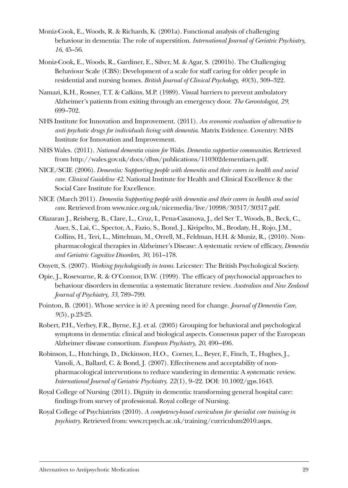- Moniz-Cook, E., Woods, R. & Richards, K. (2001a). Functional analysis of challenging behaviour in dementia: The role of superstition. *International Journal of Geriatric Psychiatry, 16*, 45–56.
- Moniz-Cook, E., Woods, R., Gardiner, E., Silver, M. & Agar, S. (2001b). The Challenging Behaviour Scale (CBS): Development of a scale for staff caring for older people in residential and nursing homes. *British Journal of Clinical Psychology, 40*(3), 309–322.
- Namazi, K.H., Rosner, T.T. & Calkins, M.P. (1989). Visual barriers to prevent ambulatory Alzheimer's patients from exiting through an emergency door. *The Gerontologist, 29*, 699–702.
- NHS Institute for Innovation and Improvement. (2011). *An economic evaluation of alternative to anti psychotic drugs for individuals living with dementia.* Matrix Evidence. Coventry: NHS Institute for Innovation and Improvement.
- NHS Wales. (2011). *National dementia vision for Wales. Dementia supportive communities*. Retrieved from http://wales.gov.uk/docs/dhss/publications/110302dementiaen.pdf.
- NICE/SCIE (2006). *Dementia: Supporting people with dementia and their carers in health and social care. Clinical Guideline 42*. National Institute for Health and Clinical Excellence & the Social Care Institute for Excellence.
- NICE (March 2011). *Dementia Supporting people with dementia and their carers in health and social care*. Retrieved from www.nice.org.uk/nicemedia/live/10998/30317/30317.pdf.
- Olazaran J., Reisberg, B., Clare, L., Cruz, I., Pena-Casanova, J., del Ser T., Woods, B., Beck, C., Auer, S., Lai, C., Spector, A., Fazio, S., Bond, J., Kivipelto, M., Brodaty, H., Rojo, J.M., Collins, H., Teri, L., Mittelman, M., Orrell, M., Feldman, H.H. & Muniz, R., (2010). Nonpharmacological therapies in Alzheimer's Disease: A systematic review of efficacy, *Dementia and Geriatric Cognitive Disorders, 30*, 161–178.
- Onyett, S. (2007). *Working psychologically in teams.* Leicester: The British Psychological Society.
- Opie, J., Rosewarne, R. & O'Connor, D.W. (1999). The efficacy of psychosocial approaches to behaviour disorders in dementia: a systematic literature review. *Australian and New Zealand Journal of Psychiatry, 33*, 789–799.
- Pointon, B. (2001). Whose service is it? A pressing need for change. *Journal of Dementia Care, 9*(5), p.23-25.
- Robert, P.H., Verhey, F.R., Byrne, E.J. et al. (2005) Grouping for behavioral and psychological symptoms in dementia: clinical and biological aspects. Consensus paper of the European Alzheimer disease consortium. *European Psychiatry, 20*, 490–496.
- Robinson, L., Hutchings, D., Dickinson, H.O., Corner, L., Beyer, F., Finch, T., Hughes, J., Vanoli, A., Ballard, C. & Bond, J. (2007). Effectiveness and acceptability of nonpharmacological interventions to reduce wandering in dementia: A systematic review. *International Journal of Geriatric Psychiatry. 22*(1), 9–22. DOI: 10.1002/gps.1643.
- Royal College of Nursing (2011). Dignity in dementia: transforming general hospital care: findings from survey of professional. Royal college of Nursing.
- Royal College of Psychiatrists (2010). *A competency-based curriculum for specialist core training in psychiatry.* Retrieved from: www.rcpsych.ac.uk/training/curriculum2010.aspx.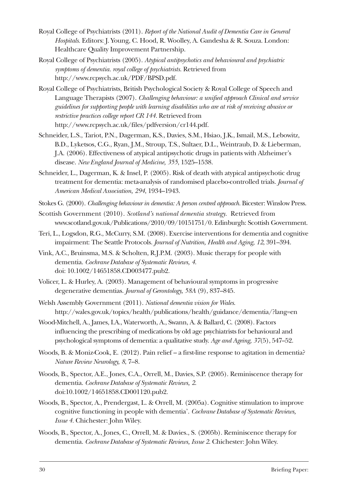- Royal College of Psychiatrists (2011). *Report of the National Audit of Dementia Care in General Hospitals.* Editors: J. Young, C. Hood, R. Woolley, A. Gandesha & R. Souza. London: Healthcare Quality Improvement Partnership.
- Royal College of Psychiatrists (2005). *Atypical antipsychotics and behavioural and psychiatric symptoms of dementia. royal college of psychiatrists.* Retrieved from http://www.rcpsych.ac.uk/PDF/BPSD.pdf.
- Royal College of Psychiatrists, British Psychological Society & Royal College of Speech and Language Therapists (2007). *Challenging behaviour: a unified approach Clinical and service guidelines for supporting people with learning disabilities who are at risk of receiving abusive or restrictive practices college report CR 144.* Retrieved from http://www.rcpsych.ac.uk/files/pdfversion/cr144.pdf.
- Schneider, L.S., Tariot, P.N., Dagerman, K.S., Davies, S.M., Hsiao, J.K., Ismail, M.S., Lebowitz, B.D., Lyketsos, C.G., Ryan, J.M., Stroup, T.S., Sultaer, D.L., Weintraub, D. & Lieberman, J.A. (2006). Effectiveness of atypical antipsychotic drugs in patients with Alzheimer's disease. *New England Journal of Medicine, 355*, 1525–1538.
- Schneider, L., Dagerman, K. & Insel, P. (2005). Risk of death with atypical antipsychotic drug treatment for dementia: meta-analysis of randomised placebo-controlled trials. *Journal of American Medical Association, 294*, 1934–1943.
- Stokes G. (2000). *Challenging behaviour in dementia: A person centred approach.* Bicester: Winslow Press.
- Scottish Government (2010). *Scotland's national dementia strategy*. Retrieved from www.scotland.gov.uk/ Publications/2010/09/10151751/0. Edinburgh: Scottish Government.
- Teri, L., Logsdon, R.G., McCurry, S.M. (2008). Exercise interventions for dementia and cognitive impairment: The Seattle Protocols. *Journal of Nutrition, Health and Aging, 12*, 391–394.
- Vink, A.C., Bruinsma, M.S. & Scholten, R.J.P.M. (2003). Music therapy for people with dementia. *Cochrane Database of Systematic Reviews, 4*. doi: 10.1002/14651858.CD003477.pub2.
- Volicer, L. & Hurley, A. (2003). Management of behavioural symptoms in progressive degenerative dementias. *Journal of Gerontology, 58A* (9), 837–845.
- Welsh Assembly Government (2011). *National dementia vision for Wales*. http://wales.gov.uk/topics/ health/publications/health/guidance/dementia/?lang=en
- Wood-Mitchell, A., James, I.A., Waterworth, A., Swann, A. & Ballard, C. (2008). Factors influencing the prescribing of medications by old age psychiatrists for behavioural and psychological symptoms of dementia: a qualitative study. *Age and Ageing, 37*(5), 547–52.
- Woods, B. & Moniz-Cook, E. (2012). Pain relief a first-line response to agitation in dementia? *Nature Review Neurology, 8*, 7–8.
- Woods, B., Spector, A.E., Jones, C.A., Orrell, M., Davies, S.P. (2005). Reminiscence therapy for dementia. *Cochrane Database of Systematic Reviews, 2*. doi:10.1002/14651858.CD001120.pub2.
- Woods, B., Spector, A., Prendergast, L. & Orrell, M. (2005a). Cognitive stimulation to improve cognitive functioning in people with dementia'. *Cochrane Database of Systematic Reviews, Issue 4.* Chichester: John Wiley.
- Woods, B., Spector, A., Jones, C., Orrell, M. & Davies., S. (2005b). Reminiscence therapy for dementia. *Cochrane Database of Systematic Reviews, Issue 2*. Chichester: John Wiley.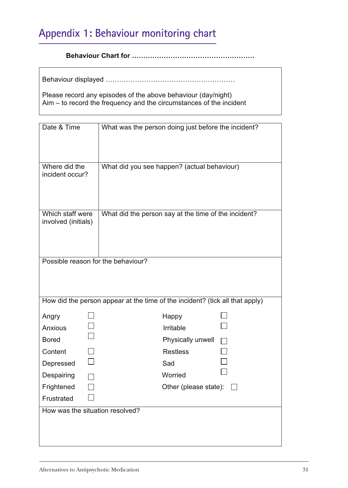#### **Appendix 1: Behaviour monitoring chart**

**Behaviour Chart for ………………………………………………** 

Behaviour displayed …………………………………………………

Please record any episodes of the above behaviour (day/night) Aim – to record the frequency and the circumstances of the incident

| Date & Time                        | What was the person doing just before the incident?                          |
|------------------------------------|------------------------------------------------------------------------------|
|                                    |                                                                              |
| Where did the                      | What did you see happen? (actual behaviour)                                  |
| incident occur?                    |                                                                              |
|                                    |                                                                              |
|                                    |                                                                              |
|                                    |                                                                              |
| Which staff were                   | What did the person say at the time of the incident?                         |
| involved (initials)                |                                                                              |
|                                    |                                                                              |
|                                    |                                                                              |
|                                    |                                                                              |
| Possible reason for the behaviour? |                                                                              |
|                                    |                                                                              |
|                                    |                                                                              |
|                                    |                                                                              |
|                                    | How did the person appear at the time of the incident? (tick all that apply) |
|                                    |                                                                              |
| Angry                              | Happy                                                                        |
| <b>Anxious</b>                     | Irritable                                                                    |
| <b>Bored</b>                       | Physically unwell                                                            |
| Content                            | <b>Restless</b>                                                              |
| Depressed                          | Sad                                                                          |
| Despairing                         | Worried                                                                      |
| Frightened                         | Other (please state):                                                        |
| Frustrated                         |                                                                              |
| How was the situation resolved?    |                                                                              |
|                                    |                                                                              |
|                                    |                                                                              |
|                                    |                                                                              |
|                                    |                                                                              |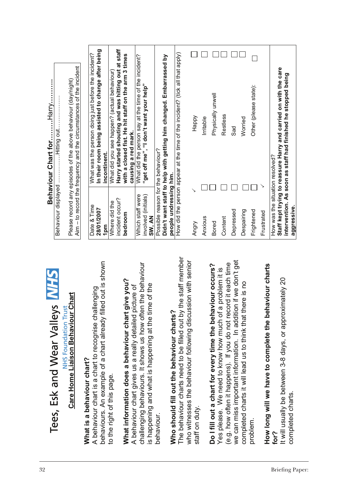| In their room being assisted to change after being<br>Harry started shouting and was hitting out at staff<br>How did the person appear at the time of the incident? (tick all that apply)<br>What was the person doing just before the incident?<br>with a closed fist. He hit staff on the arm 3 times<br>What did the person say at the time of the incident?<br>Didn't want staff to help with getting him changed. Embarrassed by<br>Aim - to record the frequency and the circumstances of the incident<br>Staff kept trying to reassure Harry and carried on with the care<br>What did you see happen? (actual behaviour)<br>intervention. As soon as staff had finished he stopped being<br>Please record any episodes of the above behaviour (day/night)<br>"get off me", "I don't want your help"<br>Other (please state):<br>Physically unwell<br>Restless<br>Happy<br>Irritable<br>Worried<br>Hitting out<br>Sad<br>causing a red mark.<br>Possible reason for the behaviour?<br>incontinent.<br>How was the situation resolved?<br>people undressing him.<br>Behaviour displayed<br>Which staff were<br>involved (initials)<br>incident occur?<br>Where did the<br>Date & Time<br>aggressive.<br>28/01/2007<br>Depressed<br>Despairing<br>Frightened<br>Frustrated<br>bedroom<br>SW, AN<br>Anxious<br>Content<br>Bored<br><b>Angry</b><br>1pm<br>staff member<br>we can miss important information. In addition if we don't get<br>who witnesses the behaviour following discussion with senior<br>out is shown<br>challenging behaviours. It shows us how often the behaviour<br>it each time<br>Do I fill out a chart for every time the behaviour occurs?<br>How long will we have to complete the behaviour charts<br>Yes please. We need to know how much of a problem it is<br>It will usually be between 3-8 days, or approximately 20<br>What information does a behaviour chart give you?<br>is no<br>is happening and what is happening at the time of the<br>A behaviour chart gives us a really detailed picture of<br>A behaviour chart is a chart to recognise challenging<br>빕<br>NHS Foundation Trust<br>Care Home Liaison Behaviour Cha<br>The behaviour charts need to be filled out by the<br>(e.g. how often it happens). If you do not record<br>completed charts it will lead us to think that there<br>behaviours. An example of a chart already filled<br>Tees, Esk and Wear Valleys<br>Who should fill out the behaviour charts?<br>What is a behaviour chart?<br>to the right of this page.<br>completed charts.<br>staff on duty.<br>behaviour.<br>problem.<br>for? |
|------------------------------------------------------------------------------------------------------------------------------------------------------------------------------------------------------------------------------------------------------------------------------------------------------------------------------------------------------------------------------------------------------------------------------------------------------------------------------------------------------------------------------------------------------------------------------------------------------------------------------------------------------------------------------------------------------------------------------------------------------------------------------------------------------------------------------------------------------------------------------------------------------------------------------------------------------------------------------------------------------------------------------------------------------------------------------------------------------------------------------------------------------------------------------------------------------------------------------------------------------------------------------------------------------------------------------------------------------------------------------------------------------------------------------------------------------------------------------------------------------------------------------------------------------------------------------------------------------------------------------------------------------------------------------------------------------------------------------------------------------------------------------------------------------------------------------------------------------------------------------------------------------------------------------------------------------------------------------------------------------------------------------------------------------------------------------------------------------------------------------------------------------------------------------------------------------------------------------------------------------------------------------------------------------------------------------------------------------------------------------------------------------------------------------------------------------------------------------------------------------------------------------------------------------------------------------------------------------------|
|                                                                                                                                                                                                                                                                                                                                                                                                                                                                                                                                                                                                                                                                                                                                                                                                                                                                                                                                                                                                                                                                                                                                                                                                                                                                                                                                                                                                                                                                                                                                                                                                                                                                                                                                                                                                                                                                                                                                                                                                                                                                                                                                                                                                                                                                                                                                                                                                                                                                                                                                                                                                            |
|                                                                                                                                                                                                                                                                                                                                                                                                                                                                                                                                                                                                                                                                                                                                                                                                                                                                                                                                                                                                                                                                                                                                                                                                                                                                                                                                                                                                                                                                                                                                                                                                                                                                                                                                                                                                                                                                                                                                                                                                                                                                                                                                                                                                                                                                                                                                                                                                                                                                                                                                                                                                            |
|                                                                                                                                                                                                                                                                                                                                                                                                                                                                                                                                                                                                                                                                                                                                                                                                                                                                                                                                                                                                                                                                                                                                                                                                                                                                                                                                                                                                                                                                                                                                                                                                                                                                                                                                                                                                                                                                                                                                                                                                                                                                                                                                                                                                                                                                                                                                                                                                                                                                                                                                                                                                            |
|                                                                                                                                                                                                                                                                                                                                                                                                                                                                                                                                                                                                                                                                                                                                                                                                                                                                                                                                                                                                                                                                                                                                                                                                                                                                                                                                                                                                                                                                                                                                                                                                                                                                                                                                                                                                                                                                                                                                                                                                                                                                                                                                                                                                                                                                                                                                                                                                                                                                                                                                                                                                            |
|                                                                                                                                                                                                                                                                                                                                                                                                                                                                                                                                                                                                                                                                                                                                                                                                                                                                                                                                                                                                                                                                                                                                                                                                                                                                                                                                                                                                                                                                                                                                                                                                                                                                                                                                                                                                                                                                                                                                                                                                                                                                                                                                                                                                                                                                                                                                                                                                                                                                                                                                                                                                            |
|                                                                                                                                                                                                                                                                                                                                                                                                                                                                                                                                                                                                                                                                                                                                                                                                                                                                                                                                                                                                                                                                                                                                                                                                                                                                                                                                                                                                                                                                                                                                                                                                                                                                                                                                                                                                                                                                                                                                                                                                                                                                                                                                                                                                                                                                                                                                                                                                                                                                                                                                                                                                            |
|                                                                                                                                                                                                                                                                                                                                                                                                                                                                                                                                                                                                                                                                                                                                                                                                                                                                                                                                                                                                                                                                                                                                                                                                                                                                                                                                                                                                                                                                                                                                                                                                                                                                                                                                                                                                                                                                                                                                                                                                                                                                                                                                                                                                                                                                                                                                                                                                                                                                                                                                                                                                            |
|                                                                                                                                                                                                                                                                                                                                                                                                                                                                                                                                                                                                                                                                                                                                                                                                                                                                                                                                                                                                                                                                                                                                                                                                                                                                                                                                                                                                                                                                                                                                                                                                                                                                                                                                                                                                                                                                                                                                                                                                                                                                                                                                                                                                                                                                                                                                                                                                                                                                                                                                                                                                            |
|                                                                                                                                                                                                                                                                                                                                                                                                                                                                                                                                                                                                                                                                                                                                                                                                                                                                                                                                                                                                                                                                                                                                                                                                                                                                                                                                                                                                                                                                                                                                                                                                                                                                                                                                                                                                                                                                                                                                                                                                                                                                                                                                                                                                                                                                                                                                                                                                                                                                                                                                                                                                            |
|                                                                                                                                                                                                                                                                                                                                                                                                                                                                                                                                                                                                                                                                                                                                                                                                                                                                                                                                                                                                                                                                                                                                                                                                                                                                                                                                                                                                                                                                                                                                                                                                                                                                                                                                                                                                                                                                                                                                                                                                                                                                                                                                                                                                                                                                                                                                                                                                                                                                                                                                                                                                            |
|                                                                                                                                                                                                                                                                                                                                                                                                                                                                                                                                                                                                                                                                                                                                                                                                                                                                                                                                                                                                                                                                                                                                                                                                                                                                                                                                                                                                                                                                                                                                                                                                                                                                                                                                                                                                                                                                                                                                                                                                                                                                                                                                                                                                                                                                                                                                                                                                                                                                                                                                                                                                            |
|                                                                                                                                                                                                                                                                                                                                                                                                                                                                                                                                                                                                                                                                                                                                                                                                                                                                                                                                                                                                                                                                                                                                                                                                                                                                                                                                                                                                                                                                                                                                                                                                                                                                                                                                                                                                                                                                                                                                                                                                                                                                                                                                                                                                                                                                                                                                                                                                                                                                                                                                                                                                            |
|                                                                                                                                                                                                                                                                                                                                                                                                                                                                                                                                                                                                                                                                                                                                                                                                                                                                                                                                                                                                                                                                                                                                                                                                                                                                                                                                                                                                                                                                                                                                                                                                                                                                                                                                                                                                                                                                                                                                                                                                                                                                                                                                                                                                                                                                                                                                                                                                                                                                                                                                                                                                            |
|                                                                                                                                                                                                                                                                                                                                                                                                                                                                                                                                                                                                                                                                                                                                                                                                                                                                                                                                                                                                                                                                                                                                                                                                                                                                                                                                                                                                                                                                                                                                                                                                                                                                                                                                                                                                                                                                                                                                                                                                                                                                                                                                                                                                                                                                                                                                                                                                                                                                                                                                                                                                            |
|                                                                                                                                                                                                                                                                                                                                                                                                                                                                                                                                                                                                                                                                                                                                                                                                                                                                                                                                                                                                                                                                                                                                                                                                                                                                                                                                                                                                                                                                                                                                                                                                                                                                                                                                                                                                                                                                                                                                                                                                                                                                                                                                                                                                                                                                                                                                                                                                                                                                                                                                                                                                            |
|                                                                                                                                                                                                                                                                                                                                                                                                                                                                                                                                                                                                                                                                                                                                                                                                                                                                                                                                                                                                                                                                                                                                                                                                                                                                                                                                                                                                                                                                                                                                                                                                                                                                                                                                                                                                                                                                                                                                                                                                                                                                                                                                                                                                                                                                                                                                                                                                                                                                                                                                                                                                            |
|                                                                                                                                                                                                                                                                                                                                                                                                                                                                                                                                                                                                                                                                                                                                                                                                                                                                                                                                                                                                                                                                                                                                                                                                                                                                                                                                                                                                                                                                                                                                                                                                                                                                                                                                                                                                                                                                                                                                                                                                                                                                                                                                                                                                                                                                                                                                                                                                                                                                                                                                                                                                            |
|                                                                                                                                                                                                                                                                                                                                                                                                                                                                                                                                                                                                                                                                                                                                                                                                                                                                                                                                                                                                                                                                                                                                                                                                                                                                                                                                                                                                                                                                                                                                                                                                                                                                                                                                                                                                                                                                                                                                                                                                                                                                                                                                                                                                                                                                                                                                                                                                                                                                                                                                                                                                            |
| <b>Briefing Paper</b>                                                                                                                                                                                                                                                                                                                                                                                                                                                                                                                                                                                                                                                                                                                                                                                                                                                                                                                                                                                                                                                                                                                                                                                                                                                                                                                                                                                                                                                                                                                                                                                                                                                                                                                                                                                                                                                                                                                                                                                                                                                                                                                                                                                                                                                                                                                                                                                                                                                                                                                                                                                      |
|                                                                                                                                                                                                                                                                                                                                                                                                                                                                                                                                                                                                                                                                                                                                                                                                                                                                                                                                                                                                                                                                                                                                                                                                                                                                                                                                                                                                                                                                                                                                                                                                                                                                                                                                                                                                                                                                                                                                                                                                                                                                                                                                                                                                                                                                                                                                                                                                                                                                                                                                                                                                            |
|                                                                                                                                                                                                                                                                                                                                                                                                                                                                                                                                                                                                                                                                                                                                                                                                                                                                                                                                                                                                                                                                                                                                                                                                                                                                                                                                                                                                                                                                                                                                                                                                                                                                                                                                                                                                                                                                                                                                                                                                                                                                                                                                                                                                                                                                                                                                                                                                                                                                                                                                                                                                            |
|                                                                                                                                                                                                                                                                                                                                                                                                                                                                                                                                                                                                                                                                                                                                                                                                                                                                                                                                                                                                                                                                                                                                                                                                                                                                                                                                                                                                                                                                                                                                                                                                                                                                                                                                                                                                                                                                                                                                                                                                                                                                                                                                                                                                                                                                                                                                                                                                                                                                                                                                                                                                            |
|                                                                                                                                                                                                                                                                                                                                                                                                                                                                                                                                                                                                                                                                                                                                                                                                                                                                                                                                                                                                                                                                                                                                                                                                                                                                                                                                                                                                                                                                                                                                                                                                                                                                                                                                                                                                                                                                                                                                                                                                                                                                                                                                                                                                                                                                                                                                                                                                                                                                                                                                                                                                            |
|                                                                                                                                                                                                                                                                                                                                                                                                                                                                                                                                                                                                                                                                                                                                                                                                                                                                                                                                                                                                                                                                                                                                                                                                                                                                                                                                                                                                                                                                                                                                                                                                                                                                                                                                                                                                                                                                                                                                                                                                                                                                                                                                                                                                                                                                                                                                                                                                                                                                                                                                                                                                            |
|                                                                                                                                                                                                                                                                                                                                                                                                                                                                                                                                                                                                                                                                                                                                                                                                                                                                                                                                                                                                                                                                                                                                                                                                                                                                                                                                                                                                                                                                                                                                                                                                                                                                                                                                                                                                                                                                                                                                                                                                                                                                                                                                                                                                                                                                                                                                                                                                                                                                                                                                                                                                            |
|                                                                                                                                                                                                                                                                                                                                                                                                                                                                                                                                                                                                                                                                                                                                                                                                                                                                                                                                                                                                                                                                                                                                                                                                                                                                                                                                                                                                                                                                                                                                                                                                                                                                                                                                                                                                                                                                                                                                                                                                                                                                                                                                                                                                                                                                                                                                                                                                                                                                                                                                                                                                            |
|                                                                                                                                                                                                                                                                                                                                                                                                                                                                                                                                                                                                                                                                                                                                                                                                                                                                                                                                                                                                                                                                                                                                                                                                                                                                                                                                                                                                                                                                                                                                                                                                                                                                                                                                                                                                                                                                                                                                                                                                                                                                                                                                                                                                                                                                                                                                                                                                                                                                                                                                                                                                            |
|                                                                                                                                                                                                                                                                                                                                                                                                                                                                                                                                                                                                                                                                                                                                                                                                                                                                                                                                                                                                                                                                                                                                                                                                                                                                                                                                                                                                                                                                                                                                                                                                                                                                                                                                                                                                                                                                                                                                                                                                                                                                                                                                                                                                                                                                                                                                                                                                                                                                                                                                                                                                            |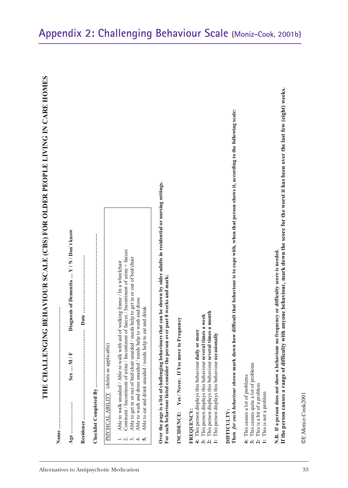E.Moniz-Cook2001 **OE.Moniz-Cook2001**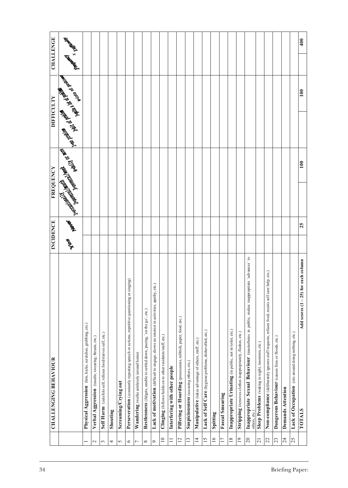|                 | <b>CHALLENGING BEHAVIOUR</b>                                                                                 | INCIDENCE                   | FREQUENCY                                                        | <b>DIFFICULTY</b>                                                                     | <b>CHALLENGE</b> |
|-----------------|--------------------------------------------------------------------------------------------------------------|-----------------------------|------------------------------------------------------------------|---------------------------------------------------------------------------------------|------------------|
|                 |                                                                                                              | <b>Polet</b><br>g <b>al</b> | <b>PARKERS</b><br>TRAINING SEASY<br>The Metapolitics of the Line | Ash Creek Creek<br>AND TO BE DESCRIPTION OF<br><b>DARANDAR</b><br><b>Marian River</b> | Arthur x Anghal  |
| -               | Physical Aggression (hits, kicks, scratches, grabbing, etc.)                                                 |                             |                                                                  |                                                                                       |                  |
| $\sim$          | Verbal Aggression (insults, swearing, threats, etc.)                                                         |                             |                                                                  |                                                                                       |                  |
| $\epsilon$      | Self Harm (cuts/hits self, refuses food/starves self, etc.)                                                  |                             |                                                                  |                                                                                       |                  |
| 4               | Shouting                                                                                                     |                             |                                                                  |                                                                                       |                  |
| $\sim$          | Screaming/Crying out                                                                                         |                             |                                                                  |                                                                                       |                  |
| 6               | Perseveration (constantly repeating speech or actions, repetitive questioning or singing)                    |                             |                                                                  |                                                                                       |                  |
| $\overline{ }$  | Wandering (walks aimlessly around home)                                                                      |                             |                                                                  |                                                                                       |                  |
| $\infty$        | Restlessness (fidgets, unable to settled down, pacing, `on the go`, etc.)                                    |                             |                                                                  |                                                                                       |                  |
| $\bullet$       | Lack of motivation (difficult to engage, shows no interest in activities, apathy, etc.)                      |                             |                                                                  |                                                                                       |                  |
| $\Xi$           | Clinging (follows/holds on to other residents/staff, etc.)                                                   |                             |                                                                  |                                                                                       |                  |
| $\equiv$        | Interfering with other people                                                                                |                             |                                                                  |                                                                                       |                  |
| $\overline{c}$  | Pilfering or Hoarding (possessions, rubbish, paper, food, etc.)                                              |                             |                                                                  |                                                                                       |                  |
| $\overline{13}$ | Suspiciousness (accusing others, etc.)                                                                       |                             |                                                                  |                                                                                       |                  |
| $\overline{4}$  | Manipulative (takes advantage of others, staff, etc.)                                                        |                             |                                                                  |                                                                                       |                  |
| $\overline{15}$ | Lack of Self Care (hygiene problems, dishevelled, etc.)                                                      |                             |                                                                  |                                                                                       |                  |
| $\tilde{16}$    | Spitting                                                                                                     |                             |                                                                  |                                                                                       |                  |
| $\overline{17}$ | <b>Faecal Smearing</b>                                                                                       |                             |                                                                  |                                                                                       |                  |
| $\overline{18}$ | Inappropriate Urinating (in public, not in toilet, etc.)                                                     |                             |                                                                  |                                                                                       |                  |
| $\overline{0}$  | Stripping (removes clothes inappropriately, flashes, etc.)                                                   |                             |                                                                  |                                                                                       |                  |
| $20\,$          | S,<br>Inappropriate Sexual Behaviour (masturbates in public, makes inappropriate 'advances'<br>others, etc.) |                             |                                                                  |                                                                                       |                  |
| $\overline{21}$ | Sleep Problems (waking in night, insomnia, etc.)                                                             |                             |                                                                  |                                                                                       |                  |
| 22              | Non-compliance (deliberately ignores staff requests, refuses food, resists self care help, etc.)             |                             |                                                                  |                                                                                       |                  |
| 23              | Dangerous Behaviour (causes fires or floods, etc.)                                                           |                             |                                                                  |                                                                                       |                  |
| 24              | <b>Demands Attention</b>                                                                                     |                             |                                                                  |                                                                                       |                  |
| 25              | Lack of Occupation (sits around doing nothing, etc.)                                                         |                             |                                                                  |                                                                                       |                  |
|                 | Add scores $(1 - 25)$ for each column<br><b>TOTALS</b>                                                       | 25                          | 100                                                              | 100                                                                                   |                  |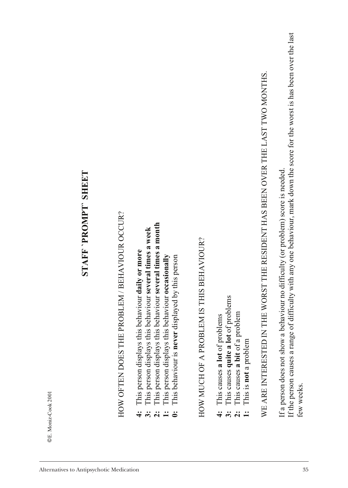©E. Moniz-Cook 2001 E. Moniz-Cook 2001

# **STAFF `PROMPT` SHEET** STAFF PROMPT SHEET

HOW OF TEN DOE S THE PROBLEM / B EHA VIOUR OCCUR?

- This person displays this behaviour daily or more **4:** This person displays this behaviour **daily or more**  $\ddot{\dot{\tau}}$
- **3:** This person displays this behaviour **several times a week**
- **2:** This person displays this behaviour **several times a month**
- This person displays this behaviour occasionally **1:** This person displays this behaviour **occasionally**  $\ddot{\phi}$   $\ddot{\phi}$   $\ddot{\phi}$   $\ddot{\phi}$ 
	- This behaviour is never displayed by this person **0:** This behaviour is **never** displayed by this person

# HOW MUCH OF  $\blacktriangleleft$ PROBLEM IS THIS  $\mathbf{\Xi}$ EHA VIOUR?

- This causes a lot of problems **lot** of problems **4:** This causes  $\ddot{+}$
- This causes quite a lot of problems **lot** of problems **3:** This causes **quite**  $\ddot{\bm{x}}$ 
	- a problem **a bit** of **2:** This causes  $\ddot{a}$   $\ddot{a}$ 
		- This is not a problem **1:** This is **not** a problem

# WE ARE IN TERESTED IN THE WORST THE RESIDEN T HAS BEEN OVER THE LAST TWO MONTHS.

If the person causes a range of difficulty with any one behaviour, mark down the score for the worst is has been over the last range of difficulty with any one behaviour, mark down the score for the worst is has been over the last behaviour no difficulty (or problem) score is needed.  $\mathbf \sigma$  person does not show If the person causes few weeks. few weeks. $\mathbf \sigma$  $\mathbf{H}$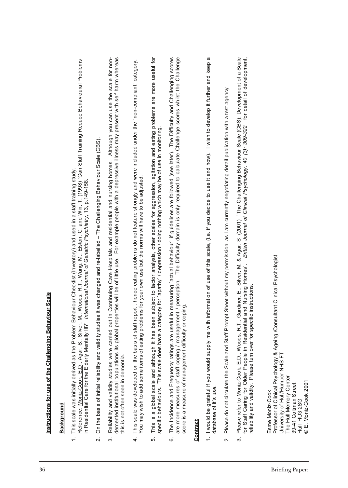| 36                     |                         |                                                                                                                                                                                                                                                                                                                                                                                                   |
|------------------------|-------------------------|---------------------------------------------------------------------------------------------------------------------------------------------------------------------------------------------------------------------------------------------------------------------------------------------------------------------------------------------------------------------------------------------------|
|                        |                         | <b>Scale</b><br><b>Instructions for use of the Challenging Behaviour</b>                                                                                                                                                                                                                                                                                                                          |
|                        |                         | <u>Backɑround</u>                                                                                                                                                                                                                                                                                                                                                                                 |
|                        | $\div$                  | Reference: Moniz-Cook, E.D., Agar, S., Silver, M., Woods, R.T., Wang, M., Elston, C. and Win, T. (1998) 'Can Staff Training Reduce Behavioural Problems<br>This scale was initially derived as the Problem Behaviour Checklist (Inventory) and used in a staff training study.<br>in Residential Care for the Elderly Mentally III? International Journal of Geriatric Psychiatry, 13, p.149-158. |
|                        | $\overline{\mathbf{v}}$ | On the basis of initial reliability and validity studies it was changed and re-labelled – The Challenging Behaviour Scale (CBS).                                                                                                                                                                                                                                                                  |
|                        | က                       | demented institutional populations its global properties will be of little use. For example people with a depressive illness may present with self harm whereas<br>ontinuing Care Hospitals and residential and nursing homes. Although you can use the scale for non-<br>Reliability and validity studies were carried out in C<br>this is not often seen in dementia.                           |
|                        | 4                       | This scale was developed on the basis of staff report : hence eating problems do not feature strongly and were included under the `non-compliant` category.<br>for your own use but the norms will have to be adjusted.<br>You may wish to add some items of eating problems                                                                                                                      |
|                        | ιó.                     | This is a global scale and although it has been subject to factor analysis, other scales for aggression, agitation and eating problems are more useful for<br>specific behaviours. This scale does have a category for 'apathy' / depression / doing nothing which may be of use in monitoring.                                                                                                   |
|                        | Ġ                       | perception. The Difficulty domain is only required to calculate Challenge scores whilst the Challenge<br>The Incidence and Frequency ratings are useful in measuring `actual behaviour` if guidelines are followed (see later). The Difficulty and Challenging scores<br>score is a measure of management difficulty or coping<br>are more measures of staff coping / management /                |
|                        |                         | Contract                                                                                                                                                                                                                                                                                                                                                                                          |
|                        |                         | 1. I would be grateful if you would supply me with information of use of this scale, (i.e. if you decide to use it and how). I wish to develop it further and keep a<br>database of it's use.                                                                                                                                                                                                     |
|                        |                         | Please do not circulate the Scale and Staff Prompt Sheet without my permission, as I am currently negotiating detail publication with a test agency.<br>$\overline{\mathsf{N}}$                                                                                                                                                                                                                   |
|                        | က်                      | Please refer to Moniz-Cook, E.D., Woods, R.T., Gardiner, E., Silver, M. & Agar, S (2001) The Challenging Behaviour Scale (CBS): Development of a Scale<br>British Journal of Clinical Psychology. 40 (3): 309-322 for detail of development,<br>Nursing Homes'.<br>reliability and validity. Please turn over for specific instructions.<br>for Staff Caring for Older People in Residential and  |
| <b>Briefing Paper:</b> |                         | Professor of Clinical Psychology & Ageing /Consultant Clinical Psychologist<br>University of Hull/Humber NHS FT<br>The Hull Memory Center<br>© E. Moniz-Cook 2001<br>39-41 Coltman Street<br>Esme Moniz-Cook<br>Hull HU3 2SG                                                                                                                                                                      |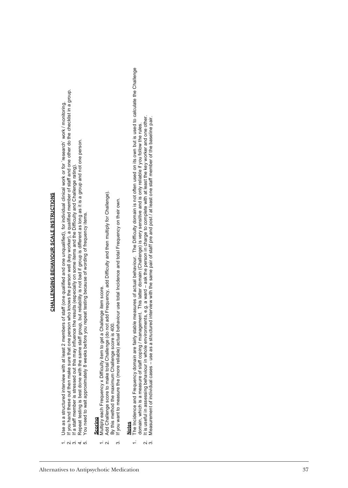# **CH ALLENGI NG BE H AVIOUR SCALE INSTRU CTIONS**

- Jse as a structured interview with at least 2 members of staff (one qualified and one unqualified), for individual clinical work or for `research` work / monitoring. 1. Use as a structured interview with at least 2 members of staff (one qualified and one unqualified), for individual clinical work or for `research` work / monitoring.  $\alpha$   $\alpha$   $+$   $\alpha$
- 2. If you hand these out then make sure that one person who knows the person well (key worker), a qualified member of staff and one other do the checklist in a group. If you hand these out then make sure that one person who knows the person well (key worker), a qualified member of staff and one other do the checklist in a group.
	- 4. Repeat testing is best done with the same staff group, but reliability is not bad if group is different as long as it is a group and not one person. Repeat testing is best done with the same staff group, but reliability is not bad if group is different as long as it is a group and not one person. 3. If a staff member is stressed out this may influence the results (especially on some items and the Difficulty and Challenge rating). If a staff member is stressed out this may influence the results (especially on some items and the Difficulty and Challenge rating).
		- 5. You need to wait approximately 8 weeks before you repeat testing because of wording of frequency items. You need to wait approximately 8 weeks before you repeat testing because of wording of frequency items.

- **Scoring**<br>Multiply each Frequency x Difficulty item to get a Challenge item score. 1. Multiply each Frequency x Difficulty item to get a Challenge item score.
- 2. Add Challenge score to make total Challenge (do not add Frequency, add Difficulty and then multiply for Challenge). Add Challenge score to make total Challenge (do not add Frequency, add Difficulty and then multiply for Challenge).  $\frac{1}{2}$   $\alpha$ 
	- By this method the maximum Challenge score is 400. By this method the maximum Challenge score is 400.
- 3. If you want to measure the (more reliable) actual behaviour use total Incidence and total Frequency on their own. If you want to measure the (more reliable) actual behaviour use total Incidence and total Frequency on their own.  $\ddot{\rm c}$

# **Notes**

- The Difficulty domain is not often used on its own but is used to calculate the Challenge 1. The Incidence and Frequency domain are fairly stable measures of actual behaviour. The Difficulty domain is not often used on its own but is used to calculate the Challenge The Incidence and Frequency domain are fairly stable measures of actual behaviour.  $\div$ 
	- domain, which is a measure of staff coping / management. This latter domain (Challenge) is very sensitive and is only reliable if you follow the rules. domain, which is a measure of staff coping / management. This latter domain (Challenge) is very sensitive and is only reliable if you follow the rules.
- 2. It is useful in assessing behaviour in whole environments, e.g. a ward ask the person in charge to complete with at least the key worker and one other. It is useful in assessing behaviour in whole environments, e.g. a ward – ask the person in charge to complete with at least the key worker and one other.<br>Measurement of individual cases – use as a structured interview with  $\sim$   $\sim$ 
	- 3. Measurement of individual cases use as a structured interview with the same pair of staff pre and post / at least one staff member of the baseline pair.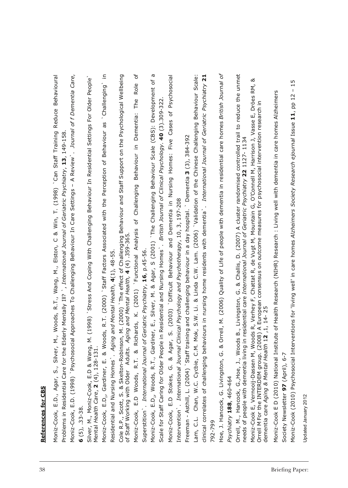# **References for CBS References for CBS**

Moniz-Cook, E.D. (1998) `Psychosocial Approaches To Challenging Behaviour In Care Settings – A Review`. *Journal of f Dementia Care*, Moniz-Cook, E.D., Agar, S., Silver, M., Woods, R.T., Wang, M., Elston, C & Win, T. (1998) `Can Staff Training Reduce Behavioural Moniz-Cook, E.D., Agar, S., Silver, M., Woods, R.T., Wang, M., Elston, C & Win, T. (1998) 'Can Staff Training Reduce Behavioural Moniz-Cook, E.D. (1998) `Psychosocial Approaches To Challenging Behaviour In Care Settings - A Review `. Journal of f Dementia Care, Problems in Residential Care for the Elderly Mentally Ill? `, *International Journal of Geriatric Psychiatry*, **13**, 149-158. Problems in Residential Care for the Elderly Mentally Ill? `, International Journal of Geriatric Psychiatry, 13, 149-158.

 $6(5)$ , 33-38. **6** (5), .33-38.

Silver, M., Moniz-Cook, E.D & Wang, M. (1998) `Stress And Coping With Challenging Behaviour In Residential Settings For Older People` Silver, M., Moniz-Cook, E.D & Wang, M. (1998) `Stress And Coping With Challenging Behaviour In Residential Settings For Older People` Mental *Health Care*, **2** (4), 128-131. Mental Health Care, 2 (4), 128-131.

Moniz-Cook, E.D., Gardiner, E. & Woods, R.T. (2000) `Staff Factors Associated with the Perception of Behaviour as `Challenging` in Moniz-Cook, E.D<sub>.2</sub> Gardiner, E. & Woods, R.T. (2000) `Staff Factors Associated with the Perception of Behaviour as `Challenging` in Residential and Nursing Homes`. *Aging and Mental Health*, **4**(1), 48-55. Residential and Nursing Homes \. Aging and Mental Health, 4(1), 48-55.

Cole R.P., Scott, S. & Skelton-Robinson, M. (2000) `The effect of Challenging Behaviour and Staff Support on the Psychological Wellbeing Cole R.P., Scott, S. & Skelton-Robinson, M. (2000) `The effect of Challenging Behaviour and Staff Support on the Psychological Wellbeing<br>of Staff Working with Older Adults. Aging and Mental Health, 4 (4) .359-365. of Staff Working with Older Adults. *Aging and Mental Health,* **4** (4) .359-365*.*

Moniz-Cook, E.D Woods, R.T. & Richards, K. (2001) `Functional Analysis of Challenging Behaviour in Dementia: The Role of ð Moniz-Cook, E.D Woods, R.T. & Richards, K. (2001) `Functional Analysis of Challenging Behaviour in Dementia: The Role Superstition`. *International Journal of Geriatric Psychiatry*, **16**, p.45-56. Superstition \. International Journal of Geriatric Psychiatry, 16, p.45-56.

Moniz-Cook, E.D., Woods, R.T., Gardiner, E., Silver, M. & Agar, S (2001) `The Challenging Behaviour Scale (CBS): Development of a  $\sigma$ Moniz-Cook, E.D., Woods, R.T., Gardiner, E., Silver, M. & Agar, S (2001) `The Challenging Behaviour Scale (CBS): Development of Scale for Staff Caring for Older People in Residential and Nursing Homes`. *British Journal of Clinical Psychology.* **40** (3).309-322. Scale for Staff Caring for Older People in Residential and Nursing Homes \. British Journal of Clinical Psychology. 40 (3).309-322

Moniz-Cook, E.D Stokes, G. & Agar, S. (2003) `Difficult Behaviour and Dementia in Nursing Homes: Five Cases of Psychosocial Moniz-Cook, E.D Stokes, G. & Agar, S. (2003) 'Difficult Behaviour and Dementia in Nursing Homes: Five Cases of Psychosocial Intervention`. *International Journal Clinical Psychology and Psychotherapy*, 10, 3, 197-208 Intervention \. International Journal Clinical Psychology and Psychotherapy, 10, 3, 197-208

Freeman - Asthill, L. (2004) `Staff training and challenging behaviour in a day hospital. ` Dementia **3** (3), 384-392 Freeman - Asthill, L. (2004) `Staff training and challenging behaviour in a day hospital. `Dementia 3 (3), 384-392

Lam, C.L. Chan, W.C. Cycbie, C.M. Mok, S.W. Li. & Linda C.W. Lam. (2006) `Validation of the Chinese Challenging Behaviour Scale: clinical correlates of challenging behaviours in nursing home residents with dementia \. International Journal of Geriatric Psychiatry 21 Lam, C.L. Chan, W.C. Cycbie, C.M. Mok, S.W. Li. & Linda C.W. Lam. (2006) `Validation of the Chinese Challenging Behaviour Scale: clinical correlates of challenging behaviours in nursing home residents with dementia`. *International Journal of Geriatric Psychiatry* **21** 792-799 792-799

Hoe, J. Hancock, G. Livingston, G. & Orrell, M. (2006) Quality of Life of people with dementia in residential care homes British Journal of Hoe, J. Hancock, G. Livingston, G. & Orrell, M. (2006) Quality of Life of people with dementia in residential care homes *British Journal of Psychiatry* **188**, 460-464 Psychiatry 188, 460-464

Orrell, M., Hancock, G.,Hoe, J., Woods B., Livingston, G. & Challis, D. (2007) A cluster randomised controlled trail to reduce the unmet Orrell, M., Hancock, G., Hoe, J., Woods B., Livingston, G. & Challis, D. (2007) A cluster randomised controlled trail to reduce the unmet needs of people with dementia living in residential care *International Journal of Geriatric Psychiatry* **22** 1127- 1134 needs of people with dementia living in residential care International Journal of Geriatric Psychiatry 22 1127- 1134

Moniz-Cook E, Vernooij-Dassen M, Woods R, Verhey F, Chattat R, de Vugt M, Mountain G, O'Connell M, Harrison J, Vasse E, Dröes RM, & ಹ Moniz-Cook E, Vernooij-Dassen M, Woods R, Verhey F, Chattat R, de Vugt M, Mountain G, O'Connell M, Harrison J, Vasse E, Dröes RM,<br>Orrell M For the INTERDEM group. (2008) A European consensus on outcome measures for psychos Orrell M For the INTERDEM group. (2008) A European consensus on outcome measures for psychosocial intervention research in dementia care Aging & Mental Health 12, 1, 14-25 dementia care *Aging & Mental Health* 1**2** ,1, 14- 25

Moniz-Cook E D (2010) National Institute of Health Research (NIHR) Research : Living well with dementia in care homes Alzheimers Moniz-Cook E D (2010) National Institute of Health Research (NIHR) Research : Living well with dementia in care homes Alzheimers Society Newsletter 97 (April), 6-7 Society Newsletter **97** (April), 6-7

Moniz-Cook (2010) Psychosocial Interventions for 'living well' in care homes *Alzheimers Society Research ejournal* Issue **11**, pp 12 – 15 Moniz-Cook (2010) Psychosocial Interventions for 'living well' in care homes Alzheimers Society Research ejournal Issue 11, pp 12 - 15

Updated January 2012 Updated January 2012